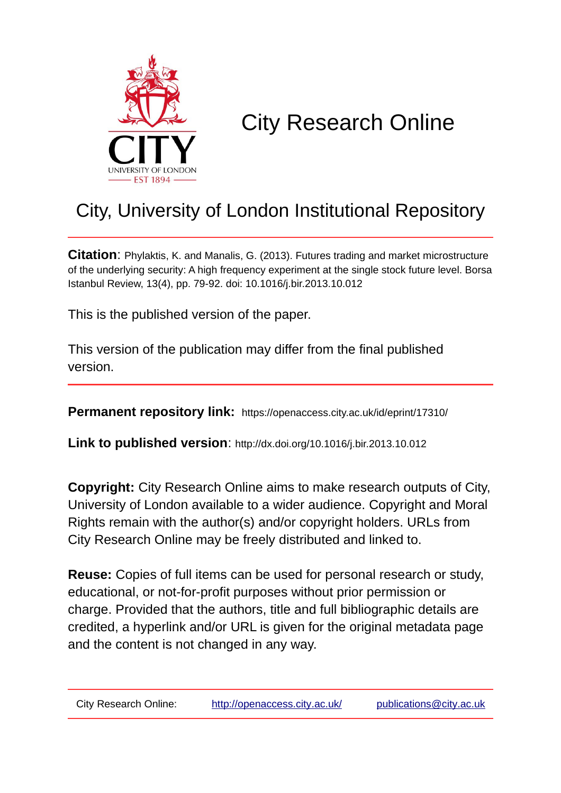

# City Research Online

## City, University of London Institutional Repository

**Citation**: Phylaktis, K. and Manalis, G. (2013). Futures trading and market microstructure of the underlying security: A high frequency experiment at the single stock future level. Borsa Istanbul Review, 13(4), pp. 79-92. doi: 10.1016/j.bir.2013.10.012

This is the published version of the paper.

This version of the publication may differ from the final published version.

**Permanent repository link:** https://openaccess.city.ac.uk/id/eprint/17310/

**Link to published version**: http://dx.doi.org/10.1016/j.bir.2013.10.012

**Copyright:** City Research Online aims to make research outputs of City, University of London available to a wider audience. Copyright and Moral Rights remain with the author(s) and/or copyright holders. URLs from City Research Online may be freely distributed and linked to.

**Reuse:** Copies of full items can be used for personal research or study, educational, or not-for-profit purposes without prior permission or charge. Provided that the authors, title and full bibliographic details are credited, a hyperlink and/or URL is given for the original metadata page and the content is not changed in any way.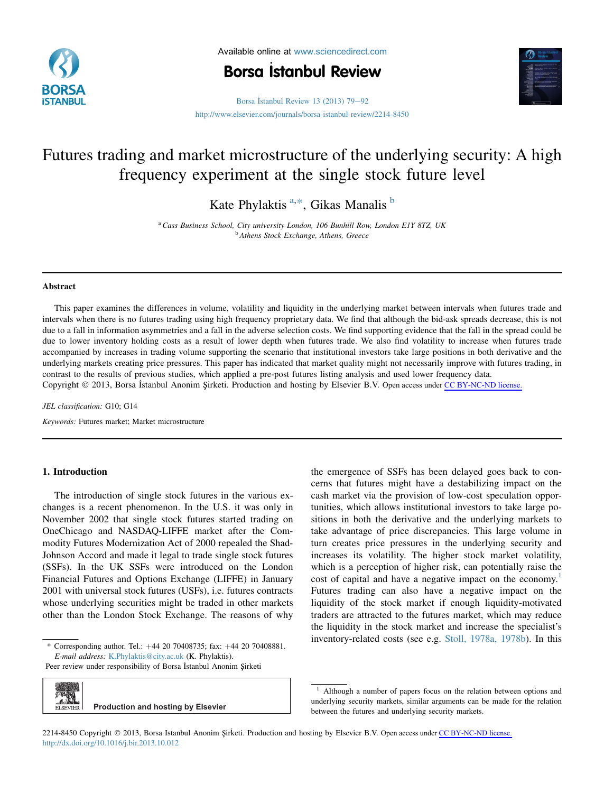

Available online at [www.sciencedirect.com](www.sciencedirect.com/science/journal/22148450)

Borsa İstanbul Review



[Borsa](http://dx.doi.org/10.1016/j.bir.2013.10.012) İ[stanbul Review 13 \(2013\) 79](http://dx.doi.org/10.1016/j.bir.2013.10.012)-[92](http://dx.doi.org/10.1016/j.bir.2013.10.012) <http://www.elsevier.com/journals/borsa-istanbul-review/2214-8450>

## Futures trading and market microstructure of the underlying security: A high frequency experiment at the single stock future level

Kate Phylaktis<sup>a,\*</sup>, Gikas Manalis<sup>b</sup>

<sup>a</sup> Cass Business School, City university London, 106 Bunhill Row, London E1Y 8TZ, UK <sup>b</sup> Athens Stock Exchange, Athens, Greece

#### Abstract

This paper examines the differences in volume, volatility and liquidity in the underlying market between intervals when futures trade and intervals when there is no futures trading using high frequency proprietary data. We find that although the bid-ask spreads decrease, this is not due to a fall in information asymmetries and a fall in the adverse selection costs. We find supporting evidence that the fall in the spread could be due to lower inventory holding costs as a result of lower depth when futures trade. We also find volatility to increase when futures trade accompanied by increases in trading volume supporting the scenario that institutional investors take large positions in both derivative and the underlying markets creating price pressures. This paper has indicated that market quality might not necessarily improve with futures trading, in contrast to the results of previous studies, which applied a pre-post futures listing analysis and used lower frequency data.

Copyright © 2013, Borsa İstanbul Anonim Şirketi. Production and hosting by Elsevier B.V. Open access under [CC BY-NC-ND license.](http://creativecommons.org/licenses/by-nc-nd/4.0/)

JEL classification: G10; G14

Keywords: Futures market; Market microstructure

## 1. Introduction

The introduction of single stock futures in the various exchanges is a recent phenomenon. In the U.S. it was only in November 2002 that single stock futures started trading on OneChicago and NASDAQ-LIFFE market after the Commodity Futures Modernization Act of 2000 repealed the Shad-Johnson Accord and made it legal to trade single stock futures (SSFs). In the UK SSFs were introduced on the London Financial Futures and Options Exchange (LIFFE) in January 2001 with universal stock futures (USFs), i.e. futures contracts whose underlying securities might be traded in other markets other than the London Stock Exchange. The reasons of why

 $*$  Corresponding author. Tel.:  $+44$  20 70408735; fax:  $+44$  20 70408881. E-mail address: [K.Phylaktis@city.ac.uk](mailto:K.Phylaktis@city.ac.uk) (K. Phylaktis).

the emergence of SSFs has been delayed goes back to concerns that futures might have a destabilizing impact on the cash market via the provision of low-cost speculation opportunities, which allows institutional investors to take large positions in both the derivative and the underlying markets to take advantage of price discrepancies. This large volume in turn creates price pressures in the underlying security and increases its volatility. The higher stock market volatility, which is a perception of higher risk, can potentially raise the cost of capital and have a negative impact on the economy.<sup>1</sup> Futures trading can also have a negative impact on the liquidity of the stock market if enough liquidity-motivated traders are attracted to the futures market, which may reduce the liquidity in the stock market and increase the specialist's inventory-related costs (see e.g. [Stoll, 1978a, 1978b](#page-14-0)). In this

Peer review under responsibility of Borsa İstanbul Anonim Şirketi

**EL SEVIER Production and hosting by Elsevier**

<sup>&</sup>lt;sup>1</sup> Although a number of papers focus on the relation between options and underlying security markets, similar arguments can be made for the relation between the futures and underlying security markets.

<sup>2214-8450</sup> Copyright © 2013, Borsa Istanbul Anonim Şirketi. Production and hosting by Elsevier B.V. Open access under [CC BY-NC-ND license.](http://creativecommons.org/licenses/by-nc-nd/4.0/) <http://dx.doi.org/10.1016/j.bir.2013.10.012>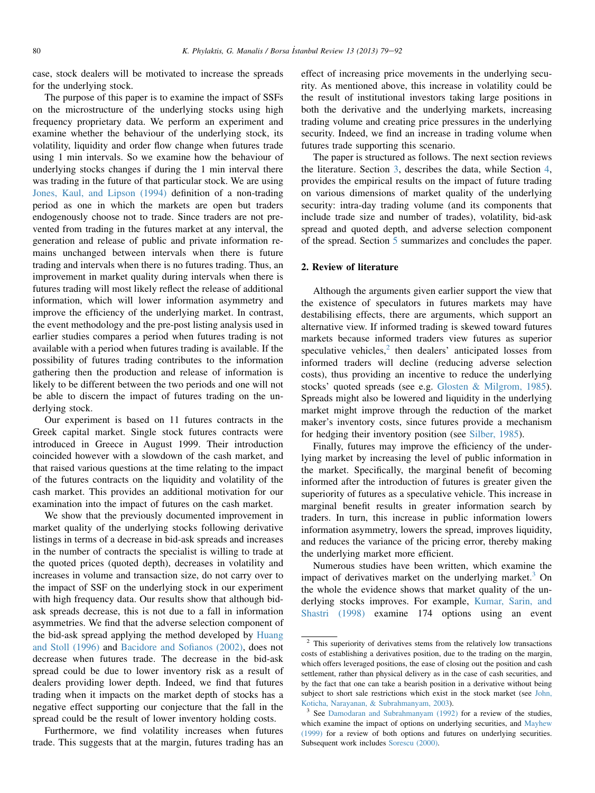case, stock dealers will be motivated to increase the spreads for the underlying stock.

The purpose of this paper is to examine the impact of SSFs on the microstructure of the underlying stocks using high frequency proprietary data. We perform an experiment and examine whether the behaviour of the underlying stock, its volatility, liquidity and order flow change when futures trade using 1 min intervals. So we examine how the behaviour of underlying stocks changes if during the 1 min interval there was trading in the future of that particular stock. We are using [Jones, Kaul, and Lipson \(1994\)](#page-14-0) definition of a non-trading period as one in which the markets are open but traders endogenously choose not to trade. Since traders are not prevented from trading in the futures market at any interval, the generation and release of public and private information remains unchanged between intervals when there is future trading and intervals when there is no futures trading. Thus, an improvement in market quality during intervals when there is futures trading will most likely reflect the release of additional information, which will lower information asymmetry and improve the efficiency of the underlying market. In contrast, the event methodology and the pre-post listing analysis used in earlier studies compares a period when futures trading is not available with a period when futures trading is available. If the possibility of futures trading contributes to the information gathering then the production and release of information is likely to be different between the two periods and one will not be able to discern the impact of futures trading on the underlying stock.

Our experiment is based on 11 futures contracts in the Greek capital market. Single stock futures contracts were introduced in Greece in August 1999. Their introduction coincided however with a slowdown of the cash market, and that raised various questions at the time relating to the impact of the futures contracts on the liquidity and volatility of the cash market. This provides an additional motivation for our examination into the impact of futures on the cash market.

We show that the previously documented improvement in market quality of the underlying stocks following derivative listings in terms of a decrease in bid-ask spreads and increases in the number of contracts the specialist is willing to trade at the quoted prices (quoted depth), decreases in volatility and increases in volume and transaction size, do not carry over to the impact of SSF on the underlying stock in our experiment with high frequency data. Our results show that although bidask spreads decrease, this is not due to a fall in information asymmetries. We find that the adverse selection component of the bid-ask spread applying the method developed by [Huang](#page-14-0) [and Stoll \(1996\)](#page-14-0) and [Bacidore and Sofianos \(2002\)](#page-14-0), does not decrease when futures trade. The decrease in the bid-ask spread could be due to lower inventory risk as a result of dealers providing lower depth. Indeed, we find that futures trading when it impacts on the market depth of stocks has a negative effect supporting our conjecture that the fall in the spread could be the result of lower inventory holding costs.

Furthermore, we find volatility increases when futures trade. This suggests that at the margin, futures trading has an effect of increasing price movements in the underlying security. As mentioned above, this increase in volatility could be the result of institutional investors taking large positions in both the derivative and the underlying markets, increasing trading volume and creating price pressures in the underlying security. Indeed, we find an increase in trading volume when futures trade supporting this scenario.

The paper is structured as follows. The next section reviews the literature. Section [3](#page-3-0), describes the data, while Section [4](#page-5-0), provides the empirical results on the impact of future trading on various dimensions of market quality of the underlying security: intra-day trading volume (and its components that include trade size and number of trades), volatility, bid-ask spread and quoted depth, and adverse selection component of the spread. Section [5](#page-13-0) summarizes and concludes the paper.

## 2. Review of literature

Although the arguments given earlier support the view that the existence of speculators in futures markets may have destabilising effects, there are arguments, which support an alternative view. If informed trading is skewed toward futures markets because informed traders view futures as superior speculative vehicles, $<sup>2</sup>$  then dealers' anticipated losses from</sup> informed traders will decline (reducing adverse selection costs), thus providing an incentive to reduce the underlying stocks' quoted spreads (see e.g. [Glosten & Milgrom, 1985\)](#page-14-0). Spreads might also be lowered and liquidity in the underlying market might improve through the reduction of the market maker's inventory costs, since futures provide a mechanism for hedging their inventory position (see [Silber, 1985\)](#page-14-0).

Finally, futures may improve the efficiency of the underlying market by increasing the level of public information in the market. Specifically, the marginal benefit of becoming informed after the introduction of futures is greater given the superiority of futures as a speculative vehicle. This increase in marginal benefit results in greater information search by traders. In turn, this increase in public information lowers information asymmetry, lowers the spread, improves liquidity, and reduces the variance of the pricing error, thereby making the underlying market more efficient.

Numerous studies have been written, which examine the impact of derivatives market on the underlying market.<sup>3</sup> On the whole the evidence shows that market quality of the underlying stocks improves. For example, [Kumar, Sarin, and](#page-14-0) [Shastri \(1998\)](#page-14-0) examine 174 options using an event

<sup>&</sup>lt;sup>2</sup> This superiority of derivatives stems from the relatively low transactions costs of establishing a derivatives position, due to the trading on the margin, which offers leveraged positions, the ease of closing out the position and cash settlement, rather than physical delivery as in the case of cash securities, and by the fact that one can take a bearish position in a derivative without being subject to short sale restrictions which exist in the stock market (see [John,](#page-14-0) [Koticha, Narayanan, & Subrahmanyam, 2003\)](#page-14-0). <sup>3</sup> See [Damodaran and Subrahmanyam \(1992\)](#page-14-0) for a review of the studies,

which examine the impact of options on underlying securities, and [Mayhew](#page-14-0) [\(1999\)](#page-14-0) for a review of both options and futures on underlying securities. Subsequent work includes [Sorescu \(2000\)](#page-14-0).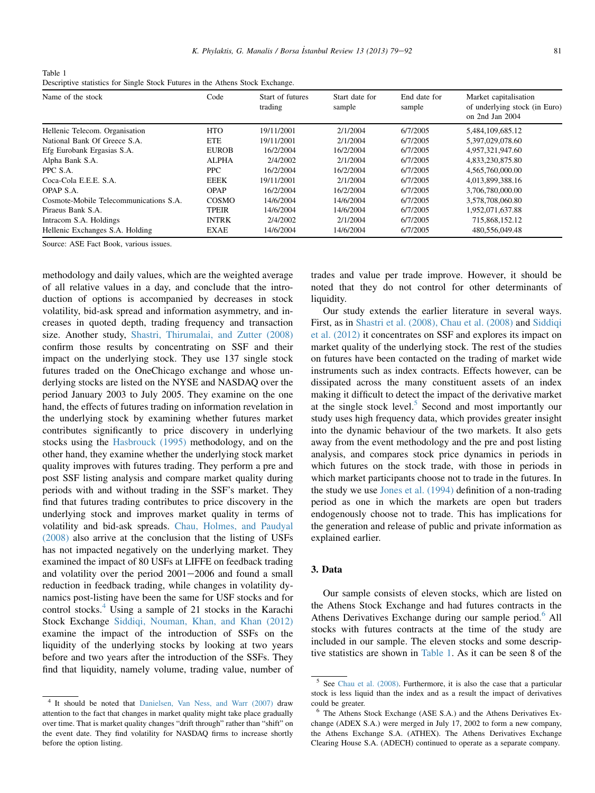<span id="page-3-0"></span>Table 1 Descriptive statistics for Single Stock Futures in the Athens Stock Exchange.

| Name of the stock                      | Code         | Start of futures<br>trading | Start date for<br>sample | End date for<br>sample | Market capitalisation<br>of underlying stock (in Euro)<br>on $2nd$ Jan $2004$ |
|----------------------------------------|--------------|-----------------------------|--------------------------|------------------------|-------------------------------------------------------------------------------|
| Hellenic Telecom. Organisation         | <b>HTO</b>   | 19/11/2001                  | 2/1/2004                 | 6/7/2005               | 5.484.109.685.12                                                              |
| National Bank Of Greece S.A.           | <b>ETE</b>   | 19/11/2001                  | 2/1/2004                 | 6/7/2005               | 5,397,029,078.60                                                              |
| Efg Eurobank Ergasias S.A.             | <b>EUROB</b> | 16/2/2004                   | 16/2/2004                | 6/7/2005               | 4.957.321.947.60                                                              |
| Alpha Bank S.A.                        | <b>ALPHA</b> | 2/4/2002                    | 2/1/2004                 | 6/7/2005               | 4,833,230,875.80                                                              |
| PPC S.A.                               | <b>PPC</b>   | 16/2/2004                   | 16/2/2004                | 6/7/2005               | 4,565,760,000.00                                                              |
| Coca-Cola E.E.E. S.A.                  | <b>EEEK</b>  | 19/11/2001                  | 2/1/2004                 | 6/7/2005               | 4.013.899.388.16                                                              |
| OPAP S.A.                              | <b>OPAP</b>  | 16/2/2004                   | 16/2/2004                | 6/7/2005               | 3,706,780,000.00                                                              |
| Cosmote-Mobile Telecommunications S.A. | COSMO        | 14/6/2004                   | 14/6/2004                | 6/7/2005               | 3,578,708,060.80                                                              |
| Piraeus Bank S.A.                      | <b>TPEIR</b> | 14/6/2004                   | 14/6/2004                | 6/7/2005               | 1.952.071.637.88                                                              |
| Intracom S.A. Holdings                 | <b>INTRK</b> | 2/4/2002                    | 2/1/2004                 | 6/7/2005               | 715,868,152.12                                                                |
| Hellenic Exchanges S.A. Holding        | <b>EXAE</b>  | 14/6/2004                   | 14/6/2004                | 6/7/2005               | 480,556,049.48                                                                |

Source: ASE Fact Book, various issues.

methodology and daily values, which are the weighted average of all relative values in a day, and conclude that the introduction of options is accompanied by decreases in stock volatility, bid-ask spread and information asymmetry, and increases in quoted depth, trading frequency and transaction size. Another study, [Shastri, Thirumalai, and Zutter \(2008\)](#page-14-0) confirm those results by concentrating on SSF and their impact on the underlying stock. They use 137 single stock futures traded on the OneChicago exchange and whose underlying stocks are listed on the NYSE and NASDAQ over the period January 2003 to July 2005. They examine on the one hand, the effects of futures trading on information revelation in the underlying stock by examining whether futures market contributes significantly to price discovery in underlying stocks using the [Hasbrouck \(1995\)](#page-14-0) methodology, and on the other hand, they examine whether the underlying stock market quality improves with futures trading. They perform a pre and post SSF listing analysis and compare market quality during periods with and without trading in the SSF's market. They find that futures trading contributes to price discovery in the underlying stock and improves market quality in terms of volatility and bid-ask spreads. [Chau, Holmes, and Paudyal](#page-14-0) [\(2008\)](#page-14-0) also arrive at the conclusion that the listing of USFs has not impacted negatively on the underlying market. They examined the impact of 80 USFs at LIFFE on feedback trading and volatility over the period  $2001-2006$  and found a small reduction in feedback trading, while changes in volatility dynamics post-listing have been the same for USF stocks and for control stocks.<sup>4</sup> Using a sample of 21 stocks in the Karachi Stock Exchange [Siddiqi, Nouman, Khan, and Khan \(2012\)](#page-14-0) examine the impact of the introduction of SSFs on the liquidity of the underlying stocks by looking at two years before and two years after the introduction of the SSFs. They find that liquidity, namely volume, trading value, number of trades and value per trade improve. However, it should be noted that they do not control for other determinants of liquidity.

Our study extends the earlier literature in several ways. First, as in [Shastri et al. \(2008\), Chau et al. \(2008\)](#page-14-0) and [Siddiqi](#page-14-0) [et al. \(2012\)](#page-14-0) it concentrates on SSF and explores its impact on market quality of the underlying stock. The rest of the studies on futures have been contacted on the trading of market wide instruments such as index contracts. Effects however, can be dissipated across the many constituent assets of an index making it difficult to detect the impact of the derivative market at the single stock level.<sup>5</sup> Second and most importantly our study uses high frequency data, which provides greater insight into the dynamic behaviour of the two markets. It also gets away from the event methodology and the pre and post listing analysis, and compares stock price dynamics in periods in which futures on the stock trade, with those in periods in which market participants choose not to trade in the futures. In the study we use [Jones et al. \(1994\)](#page-14-0) definition of a non-trading period as one in which the markets are open but traders endogenously choose not to trade. This has implications for the generation and release of public and private information as explained earlier.

## 3. Data

Our sample consists of eleven stocks, which are listed on the Athens Stock Exchange and had futures contracts in the Athens Derivatives Exchange during our sample period.<sup>6</sup> All stocks with futures contracts at the time of the study are included in our sample. The eleven stocks and some descriptive statistics are shown in Table 1. As it can be seen 8 of the

It should be noted that [Danielsen, Van Ness, and Warr \(2007\)](#page-14-0) draw attention to the fact that changes in market quality might take place gradually over time. That is market quality changes "drift through" rather than "shift" on the event date. They find volatility for NASDAQ firms to increase shortly before the option listing.

<sup>5</sup> See [Chau et al. \(2008\)](#page-14-0). Furthermore, it is also the case that a particular stock is less liquid than the index and as a result the impact of derivatives could be greater.

<sup>6</sup> The Athens Stock Exchange (ASE S.A.) and the Athens Derivatives Exchange (ADEX S.A.) were merged in July 17, 2002 to form a new company, the Athens Exchange S.A. (ATHEX). The Athens Derivatives Exchange Clearing House S.A. (ADECH) continued to operate as a separate company.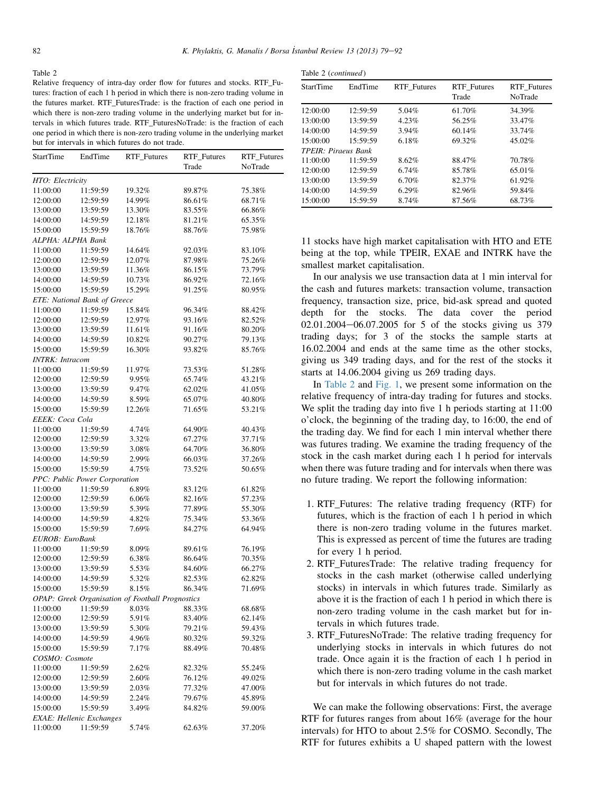Relative frequency of intra-day order flow for futures and stocks. RTF\_Futures: fraction of each 1 h period in which there is non-zero trading volume in the futures market. RTF\_FuturesTrade: is the fraction of each one period in which there is non-zero trading volume in the underlying market but for intervals in which futures trade. RTF\_FuturesNoTrade: is the fraction of each one period in which there is non-zero trading volume in the underlying market but for intervals in which futures do not trade.

| <b>StartTime</b>                | EndTime  | RTF_Futures                                      | RTF_Futures | RTF_Futures |
|---------------------------------|----------|--------------------------------------------------|-------------|-------------|
|                                 |          |                                                  | Trade       | NoTrade     |
| HTO: Electricity                |          |                                                  |             |             |
| 11:00:00                        | 11:59:59 | 19.32%                                           | 89.87%      | 75.38%      |
| 12:00:00                        | 12:59:59 | 14.99%                                           | 86.61%      | 68.71%      |
| 13:00:00                        | 13:59:59 | 13.30%                                           | 83.55%      | 66.86%      |
| 14:00:00                        | 14:59:59 | 12.18%                                           | 81.21%      | 65.35%      |
| 15:00:00                        | 15:59:59 | 18.76%                                           | 88.76%      | 75.98%      |
| ALPHA: ALPHA Bank               |          |                                                  |             |             |
| 11:00:00                        | 11:59:59 | 14.64%                                           | 92.03%      | 83.10%      |
| 12:00:00                        | 12:59:59 | 12.07%                                           | 87.98%      | 75.26%      |
| 13:00:00                        | 13:59:59 | 11.36%                                           | 86.15%      | 73.79%      |
| 14:00:00                        | 14:59:59 | 10.73%                                           | 86.92%      | 72.16%      |
| 15:00:00                        | 15:59:59 | 15.29%                                           | 91.25%      | 80.95%      |
| ETE: National Bank of Greece    |          |                                                  |             |             |
| 11:00:00                        | 11:59:59 | 15.84%                                           | 96.34%      | 88.42%      |
| 12:00:00                        | 12:59:59 | 12.97%                                           | 93.16%      | 82.52%      |
| 13:00:00                        | 13:59:59 | 11.61%                                           | 91.16%      | 80.20%      |
| 14:00:00                        | 14:59:59 | 10.82%                                           | 90.27%      | 79.13%      |
| 15:00:00                        | 15:59:59 | 16.30%                                           | 93.82%      | 85.76%      |
| <b>INTRK:</b> Intracom          |          |                                                  |             |             |
| 11:00:00                        | 11:59:59 | 11.97%                                           | 73.53%      | 51.28%      |
| 12:00:00                        | 12:59:59 | 9.95%                                            | 65.74%      | 43.21%      |
| 13:00:00                        | 13:59:59 | 9.47%                                            | 62.02%      | 41.05%      |
| 14:00:00                        | 14:59:59 | 8.59%                                            | 65.07%      | 40.80%      |
| 15:00:00                        | 15:59:59 | 12.26%                                           | 71.65%      | 53.21%      |
| EEEK: Coca Cola                 |          |                                                  |             |             |
| 11:00:00                        | 11:59:59 | 4.74%                                            | 64.90%      | 40.43%      |
| 12:00:00                        | 12:59:59 | 3.32%                                            | 67.27%      | 37.71%      |
| 13:00:00                        | 13:59:59 | 3.08%                                            | 64.70%      | 36.80%      |
| 14:00:00                        | 14:59:59 | 2.99%                                            | 66.03%      | 37.26%      |
| 15:00:00                        | 15:59:59 | 4.75%                                            | 73.52%      | 50.65%      |
| PPC: Public Power Corporation   |          |                                                  |             |             |
| 11:00:00                        | 11:59:59 | 6.89%                                            | 83.12%      | 61.82%      |
| 12:00:00                        | 12:59:59 | 6.06%                                            | 82.16%      | 57.23%      |
| 13:00:00                        | 13:59:59 | 5.39%                                            | 77.89%      | 55.30%      |
| 14:00:00                        | 14:59:59 | 4.82%                                            | 75.34%      | 53.36%      |
| 15:00:00                        | 15:59:59 | 7.69%                                            | 84.27%      | 64.94%      |
| EUROB: EuroBank                 |          |                                                  |             |             |
| 11:00:00                        | 11:59:59 | 8.09%                                            | 89.61%      | 76.19%      |
| 12:00:00                        | 12:59:59 | 6.38%                                            | 86.64%      | 70.35%      |
| 13:00:00                        | 13:59:59 | 5.53%                                            | 84.60%      | 66.27%      |
| 14:00:00                        | 14:59:59 | 5.32%                                            | 82.53%      | 62.82%      |
| 15:00:00                        | 15:59:59 | 8.15%                                            | 86.34%      | 71.69%      |
|                                 |          | OPAP: Greek Organisation of Football Prognostics |             |             |
| 11:00:00                        | 11:59:59 | 8.03%                                            | 88.33%      | 68.68%      |
| 12:00:00                        | 12:59:59 | 5.91%                                            | 83.40%      | 62.14%      |
| 13:00:00                        | 13:59:59 | 5.30%                                            | 79.21%      | 59.43%      |
| 14:00:00                        | 14:59:59 | 4.96%                                            | 80.32%      | 59.32%      |
| 15:00:00                        | 15:59:59 | 7.17%                                            | 88.49%      | 70.48%      |
| COSMO: Cosmote                  |          |                                                  |             |             |
| 11:00:00                        | 11:59:59 | 2.62%                                            | 82.32%      | 55.24%      |
| 12:00:00                        | 12:59:59 | 2.60%                                            | 76.12%      | 49.02%      |
| 13:00:00                        | 13:59:59 | 2.03%                                            | 77.32%      | 47.00%      |
| 14:00:00                        | 14:59:59 | 2.24%                                            | 79.67%      | 45.89%      |
| 15:00:00                        | 15:59:59 | 3.49%                                            | 84.82%      | 59.00%      |
| <b>EXAE: Hellenic Exchanges</b> |          |                                                  |             |             |
| 11:00:00                        | 11:59:59 | 5.74%                                            | 62.63%      | 37.20%      |

Table 2 (continued)

| <b>StartTime</b>           | EndTime  | <b>RTF</b> Futures | <b>RTF</b> Futures<br>Trade | <b>RTF</b> Futures<br>NoTrade |
|----------------------------|----------|--------------------|-----------------------------|-------------------------------|
| 12:00:00                   | 12:59:59 | 5.04%              | 61.70%                      | 34.39%                        |
| 13:00:00                   | 13:59:59 | 4.23%              | 56.25%                      | 33.47%                        |
| 14:00:00                   | 14:59:59 | 3.94%              | 60.14%                      | 33.74%                        |
| 15:00:00                   | 15:59:59 | 6.18%              | 69.32%                      | 45.02%                        |
| <b>TPEIR: Piraeus Bank</b> |          |                    |                             |                               |
| 11:00:00                   | 11:59:59 | 8.62%              | 88.47%                      | 70.78%                        |
| 12:00:00                   | 12:59:59 | 6.74%              | 85.78%                      | 65.01%                        |
| 13:00:00                   | 13:59:59 | 6.70%              | 82.37%                      | 61.92%                        |
| 14:00:00                   | 14:59:59 | $6.29\%$           | 82.96%                      | 59.84%                        |
| 15:00:00                   | 15:59:59 | 8.74%              | 87.56%                      | 68.73%                        |

11 stocks have high market capitalisation with HTO and ETE being at the top, while TPEIR, EXAE and INTRK have the smallest market capitalisation.

In our analysis we use transaction data at 1 min interval for the cash and futures markets: transaction volume, transaction frequency, transaction size, price, bid-ask spread and quoted depth for the stocks. The data cover the period 02.01.2004 $-$ 06.07.2005 for 5 of the stocks giving us 379 trading days; for 3 of the stocks the sample starts at 16.02.2004 and ends at the same time as the other stocks, giving us 349 trading days, and for the rest of the stocks it starts at 14.06.2004 giving us 269 trading days.

In Table 2 and [Fig. 1](#page-5-0), we present some information on the relative frequency of intra-day trading for futures and stocks. We split the trading day into five 1 h periods starting at 11:00 o'clock, the beginning of the trading day, to 16:00, the end of the trading day. We find for each 1 min interval whether there was futures trading. We examine the trading frequency of the stock in the cash market during each 1 h period for intervals when there was future trading and for intervals when there was no future trading. We report the following information:

- 1. RTF\_Futures: The relative trading frequency (RTF) for futures, which is the fraction of each 1 h period in which there is non-zero trading volume in the futures market. This is expressed as percent of time the futures are trading for every 1 h period.
- 2. RTF\_FuturesTrade: The relative trading frequency for stocks in the cash market (otherwise called underlying stocks) in intervals in which futures trade. Similarly as above it is the fraction of each 1 h period in which there is non-zero trading volume in the cash market but for intervals in which futures trade.
- 3. RTF\_FuturesNoTrade: The relative trading frequency for underlying stocks in intervals in which futures do not trade. Once again it is the fraction of each 1 h period in which there is non-zero trading volume in the cash market but for intervals in which futures do not trade.

We can make the following observations: First, the average RTF for futures ranges from about 16% (average for the hour intervals) for HTO to about 2.5% for COSMO. Secondly, The RTF for futures exhibits a U shaped pattern with the lowest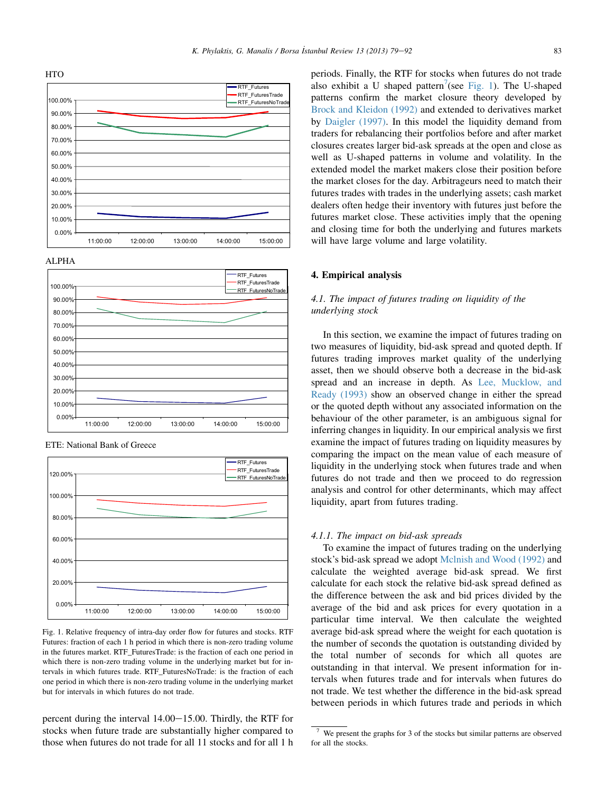<span id="page-5-0"></span>

ALPHA



ETE: National Bank of Greece



Fig. 1. Relative frequency of intra-day order flow for futures and stocks. RTF Futures: fraction of each 1 h period in which there is non-zero trading volume in the futures market. RTF\_FuturesTrade: is the fraction of each one period in which there is non-zero trading volume in the underlying market but for intervals in which futures trade. RTF\_FuturesNoTrade: is the fraction of each one period in which there is non-zero trading volume in the underlying market but for intervals in which futures do not trade.

percent during the interval  $14.00-15.00$ . Thirdly, the RTF for stocks when future trade are substantially higher compared to those when futures do not trade for all 11 stocks and for all 1 h periods. Finally, the RTF for stocks when futures do not trade also exhibit a U shaped pattern<sup>7</sup>(see Fig. 1). The U-shaped patterns confirm the market closure theory developed by [Brock and Kleidon \(1992\)](#page-14-0) and extended to derivatives market by [Daigler \(1997\)](#page-14-0). In this model the liquidity demand from traders for rebalancing their portfolios before and after market closures creates larger bid-ask spreads at the open and close as well as U-shaped patterns in volume and volatility. In the extended model the market makers close their position before the market closes for the day. Arbitrageurs need to match their futures trades with trades in the underlying assets; cash market dealers often hedge their inventory with futures just before the futures market close. These activities imply that the opening and closing time for both the underlying and futures markets will have large volume and large volatility.

## 4. Empirical analysis

## 4.1. The impact of futures trading on liquidity of the underlying stock

In this section, we examine the impact of futures trading on two measures of liquidity, bid-ask spread and quoted depth. If futures trading improves market quality of the underlying asset, then we should observe both a decrease in the bid-ask spread and an increase in depth. As [Lee, Mucklow, and](#page-14-0) [Ready \(1993\)](#page-14-0) show an observed change in either the spread or the quoted depth without any associated information on the behaviour of the other parameter, is an ambiguous signal for inferring changes in liquidity. In our empirical analysis we first examine the impact of futures trading on liquidity measures by comparing the impact on the mean value of each measure of liquidity in the underlying stock when futures trade and when futures do not trade and then we proceed to do regression analysis and control for other determinants, which may affect liquidity, apart from futures trading.

#### 4.1.1. The impact on bid-ask spreads

To examine the impact of futures trading on the underlying stock's bid-ask spread we adopt [Mclnish and Wood \(1992\)](#page-14-0) and calculate the weighted average bid-ask spread. We first calculate for each stock the relative bid-ask spread defined as the difference between the ask and bid prices divided by the average of the bid and ask prices for every quotation in a particular time interval. We then calculate the weighted average bid-ask spread where the weight for each quotation is the number of seconds the quotation is outstanding divided by the total number of seconds for which all quotes are outstanding in that interval. We present information for intervals when futures trade and for intervals when futures do not trade. We test whether the difference in the bid-ask spread between periods in which futures trade and periods in which

We present the graphs for 3 of the stocks but similar patterns are observed for all the stocks.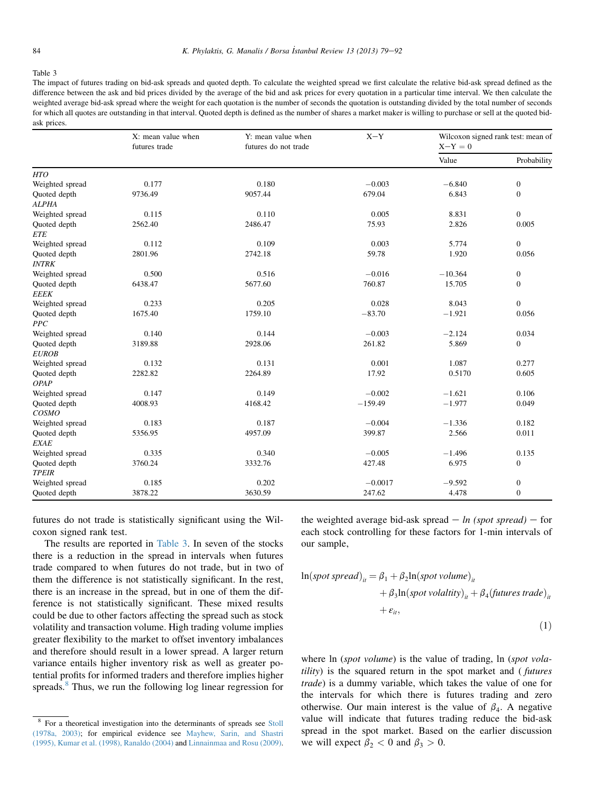<span id="page-6-0"></span>The impact of futures trading on bid-ask spreads and quoted depth. To calculate the weighted spread we first calculate the relative bid-ask spread defined as the difference between the ask and bid prices divided by the average of the bid and ask prices for every quotation in a particular time interval. We then calculate the weighted average bid-ask spread where the weight for each quotation is the number of seconds the quotation is outstanding divided by the total number of seconds for which all quotes are outstanding in that interval. Quoted depth is defined as the number of shares a market maker is willing to purchase or sell at the quoted bidask prices.

|                              | X: mean value when<br>futures trade | Y: mean value when<br>futures do not trade | $X-Y$     | Wilcoxon signed rank test: mean of<br>$X-Y=0$ |                  |
|------------------------------|-------------------------------------|--------------------------------------------|-----------|-----------------------------------------------|------------------|
|                              |                                     |                                            |           | Value                                         | Probability      |
| HTO                          |                                     |                                            |           |                                               |                  |
| Weighted spread              | 0.177                               | 0.180                                      | $-0.003$  | $-6.840$                                      | $\boldsymbol{0}$ |
| Quoted depth                 | 9736.49                             | 9057.44                                    | 679.04    | 6.843                                         | $\overline{0}$   |
| <b>ALPHA</b>                 |                                     |                                            |           |                                               |                  |
| Weighted spread              | 0.115                               | 0.110                                      | 0.005     | 8.831                                         | $\boldsymbol{0}$ |
| Quoted depth<br><b>ETE</b>   | 2562.40                             | 2486.47                                    | 75.93     | 2.826                                         | 0.005            |
| Weighted spread              | 0.112                               | 0.109                                      | 0.003     | 5.774                                         | $\overline{0}$   |
| Quoted depth                 | 2801.96                             | 2742.18                                    | 59.78     | 1.920                                         | 0.056            |
| <b>INTRK</b>                 |                                     |                                            |           |                                               |                  |
| Weighted spread              | 0.500                               | 0.516                                      | $-0.016$  | $-10.364$                                     | $\boldsymbol{0}$ |
| Quoted depth                 | 6438.47                             | 5677.60                                    | 760.87    | 15.705                                        | $\mathbf{0}$     |
| <b>EEEK</b>                  |                                     |                                            |           |                                               |                  |
| Weighted spread              | 0.233                               | 0.205                                      | 0.028     | 8.043                                         | $\overline{0}$   |
| Quoted depth<br>PPC          | 1675.40                             | 1759.10                                    | $-83.70$  | $-1.921$                                      | 0.056            |
| Weighted spread              | 0.140                               | 0.144                                      | $-0.003$  | $-2.124$                                      | 0.034            |
| Quoted depth<br><b>EUROB</b> | 3189.88                             | 2928.06                                    | 261.82    | 5.869                                         | $\boldsymbol{0}$ |
| Weighted spread              | 0.132                               | 0.131                                      | 0.001     | 1.087                                         | 0.277            |
| Quoted depth                 | 2282.82                             | 2264.89                                    | 17.92     | 0.5170                                        | 0.605            |
| <b>OPAP</b>                  |                                     |                                            |           |                                               |                  |
| Weighted spread              | 0.147                               | 0.149                                      | $-0.002$  | $-1.621$                                      | 0.106            |
| Quoted depth                 | 4008.93                             | 4168.42                                    | $-159.49$ | $-1.977$                                      | 0.049            |
| COSMO                        |                                     |                                            |           |                                               |                  |
| Weighted spread              | 0.183                               | 0.187                                      | $-0.004$  | $-1.336$                                      | 0.182            |
| Quoted depth                 | 5356.95                             | 4957.09                                    | 399.87    | 2.566                                         | 0.011            |
| <b>EXAE</b>                  |                                     |                                            |           |                                               |                  |
| Weighted spread              | 0.335                               | 0.340                                      | $-0.005$  | $-1.496$                                      | 0.135            |
| Quoted depth<br><b>TPEIR</b> | 3760.24                             | 3332.76                                    | 427.48    | 6.975                                         | $\boldsymbol{0}$ |
| Weighted spread              | 0.185                               | 0.202                                      | $-0.0017$ | $-9.592$                                      | $\boldsymbol{0}$ |
| Quoted depth                 | 3878.22                             | 3630.59                                    | 247.62    | 4.478                                         | $\boldsymbol{0}$ |

futures do not trade is statistically significant using the Wilcoxon signed rank test.

The results are reported in Table 3. In seven of the stocks there is a reduction in the spread in intervals when futures trade compared to when futures do not trade, but in two of them the difference is not statistically significant. In the rest, there is an increase in the spread, but in one of them the difference is not statistically significant. These mixed results could be due to other factors affecting the spread such as stock volatility and transaction volume. High trading volume implies greater flexibility to the market to offset inventory imbalances and therefore should result in a lower spread. A larger return variance entails higher inventory risk as well as greater potential profits for informed traders and therefore implies higher spreads.<sup>8</sup> Thus, we run the following log linear regression for the weighted average bid-ask spread  $- ln (spot spread) - for$ each stock controlling for these factors for 1-min intervals of our sample,

$$
\ln(spot\,spread)_u = \beta_1 + \beta_2 \ln(spot\,volume)_u
$$
  
+  $\beta_3 \ln(spot\, volatility)_u + \beta_4 (futures\, trade)_u$   
+  $\varepsilon_u,$  (1)

where ln (spot volume) is the value of trading, ln (spot volatility) is the squared return in the spot market and (*futures* trade) is a dummy variable, which takes the value of one for the intervals for which there is futures trading and zero otherwise. Our main interest is the value of  $\beta_4$ . A negative value will indicate that futures trading reduce the bid-ask spread in the spot market. Based on the earlier discussion we will expect  $\beta_2 < 0$  and  $\beta_3 > 0$ .

<sup>8</sup> For a theoretical investigation into the determinants of spreads see [Stoll](#page-14-0) [\(1978a, 2003\);](#page-14-0) for empirical evidence see [Mayhew, Sarin, and Shastri](#page-14-0) [\(1995\), Kumar et al. \(1998\), Ranaldo \(2004\)](#page-14-0) and [Linnainmaa and Rosu \(2009\).](#page-14-0)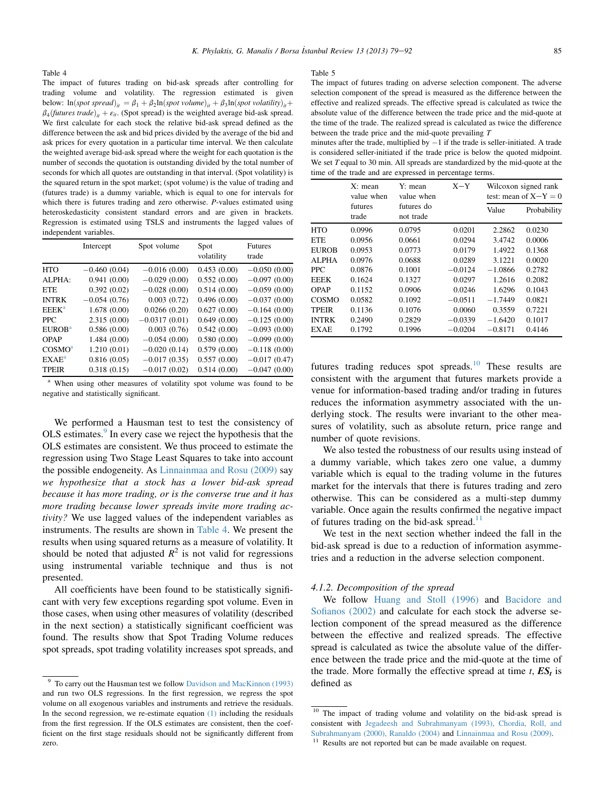<span id="page-7-0"></span>The impact of futures trading on bid-ask spreads after controlling for trading volume and volatility. The regression estimated is given below:  $ln(spot spread)_{it} = \beta_1 + \beta_2 ln(spot volume)_{it} + \beta_3 ln(spot volatility)_{it} +$  $\beta_4$ (futures trade)<sub>it</sub> +  $\varepsilon_{it}$ . (Spot spread) is the weighted average bid-ask spread. We first calculate for each stock the relative bid-ask spread defined as the difference between the ask and bid prices divided by the average of the bid and ask prices for every quotation in a particular time interval. We then calculate the weighted average bid-ask spread where the weight for each quotation is the number of seconds the quotation is outstanding divided by the total number of seconds for which all quotes are outstanding in that interval. (Spot volatility) is the squared return in the spot market; (spot volume) is the value of trading and (futures trade) is a dummy variable, which is equal to one for intervals for which there is futures trading and zero otherwise. P-values estimated using heteroskedasticity consistent standard errors and are given in brackets. Regression is estimated using TSLS and instruments the lagged values of independent variables.

|                         | Intercept      | Spot volume     | Spot<br>volatility | <b>Futures</b><br>trade |
|-------------------------|----------------|-----------------|--------------------|-------------------------|
| <b>HTO</b>              | $-0.460(0.04)$ | $-0.016(0.00)$  | 0.453(0.00)        | $-0.050(0.00)$          |
| ALPHA:                  | 0.941(0.00)    | $-0.029(0.00)$  | 0.552(0.00)        | $-0.097(0.00)$          |
| <b>ETE</b>              | 0.392(0.02)    | $-0.028(0.00)$  | 0.514(0.00)        | $-0.059(0.00)$          |
| <b>INTRK</b>            | $-0.054(0.76)$ | 0.003(0.72)     | 0.496(0.00)        | $-0.037(0.00)$          |
| <b>EEEK<sup>a</sup></b> | 1.678 (0.00)   | 0.0266(0.20)    | 0.627(0.00)        | $-0.164(0.00)$          |
| <b>PPC</b>              | 2.315(0.00)    | $-0.0317(0.01)$ | 0.649(0.00)        | $-0.125(0.00)$          |
| EUROB <sup>a</sup>      | 0.586(0.00)    | 0.003(0.76)     | 0.542(0.00)        | $-0.093(0.00)$          |
| OPAP                    | 1.484 (0.00)   | $-0.054(0.00)$  | 0.580(0.00)        | $-0.099(0.00)$          |
| COSMO <sup>a</sup>      | 1.210(0.01)    | $-0.020(0.14)$  | 0.579(0.00)        | $-0.118(0.00)$          |
| EXAE <sup>a</sup>       | 0.816(0.05)    | $-0.017(0.35)$  | 0.557(0.00)        | $-0.017(0.47)$          |
| <b>TPEIR</b>            | 0.318(0.15)    | $-0.017(0.02)$  | 0.514(0.00)        | $-0.047(0.00)$          |

<sup>a</sup> When using other measures of volatility spot volume was found to be negative and statistically significant.

We performed a Hausman test to test the consistency of OLS estimates.<sup>9</sup> In every case we reject the hypothesis that the OLS estimates are consistent. We thus proceed to estimate the regression using Two Stage Least Squares to take into account the possible endogeneity. As [Linnainmaa and Rosu \(2009\)](#page-14-0) say we hypothesize that a stock has a lower bid-ask spread because it has more trading, or is the converse true and it has more trading because lower spreads invite more trading activity? We use lagged values of the independent variables as instruments. The results are shown in Table 4. We present the results when using squared returns as a measure of volatility. It should be noted that adjusted  $R^2$  is not valid for regressions using instrumental variable technique and thus is not presented.

All coefficients have been found to be statistically significant with very few exceptions regarding spot volume. Even in those cases, when using other measures of volatility (described in the next section) a statistically significant coefficient was found. The results show that Spot Trading Volume reduces spot spreads, spot trading volatility increases spot spreads, and

#### Table 5

The impact of futures trading on adverse selection component. The adverse selection component of the spread is measured as the difference between the effective and realized spreads. The effective spread is calculated as twice the absolute value of the difference between the trade price and the mid-quote at the time of the trade. The realized spread is calculated as twice the difference between the trade price and the mid-quote prevailing T

minutes after the trade, multiplied by  $-1$  if the trade is seller-initiated. A trade is considered seller-initiated if the trade price is below the quoted midpoint. We set  $T$  equal to 30 min. All spreads are standardized by the mid-quote at the time of the trade and are expressed in percentage terms.

|              | $X:$ mean<br>value when | $X-Y$<br>Y: mean<br>value when |           | Wilcoxon signed rank<br>test: mean of $X-Y = 0$ |             |  |
|--------------|-------------------------|--------------------------------|-----------|-------------------------------------------------|-------------|--|
|              | futures<br>trade        | futures do<br>not trade        |           | Value                                           | Probability |  |
| HTO          | 0.0996                  | 0.0795                         | 0.0201    | 2.2862                                          | 0.0230      |  |
| <b>ETE</b>   | 0.0956                  | 0.0661                         | 0.0294    | 3.4742                                          | 0.0006      |  |
| <b>EUROB</b> | 0.0953                  | 0.0773                         | 0.0179    | 1.4922                                          | 0.1368      |  |
| ALPHA        | 0.0976                  | 0.0688                         | 0.0289    | 3.1221                                          | 0.0020      |  |
| <b>PPC</b>   | 0.0876                  | 0.1001                         | $-0.0124$ | $-1.0866$                                       | 0.2782      |  |
| <b>EEEK</b>  | 0.1624                  | 0.1327                         | 0.0297    | 1.2616                                          | 0.2082      |  |
| OPAP         | 0.1152                  | 0.0906                         | 0.0246    | 1.6296                                          | 0.1043      |  |
| COSMO        | 0.0582                  | 0.1092                         | $-0.0511$ | $-1.7449$                                       | 0.0821      |  |
| <b>TPEIR</b> | 0.1136                  | 0.1076                         | 0.0060    | 0.3559                                          | 0.7221      |  |
| <b>INTRK</b> | 0.2490                  | 0.2829                         | $-0.0339$ | $-1.6420$                                       | 0.1017      |  |
| <b>EXAE</b>  | 0.1792                  | 0.1996                         | $-0.0204$ | $-0.8171$                                       | 0.4146      |  |

futures trading reduces spot spreads.<sup>10</sup> These results are consistent with the argument that futures markets provide a venue for information-based trading and/or trading in futures reduces the information asymmetry associated with the underlying stock. The results were invariant to the other measures of volatility, such as absolute return, price range and number of quote revisions.

We also tested the robustness of our results using instead of a dummy variable, which takes zero one value, a dummy variable which is equal to the trading volume in the futures market for the intervals that there is futures trading and zero otherwise. This can be considered as a multi-step dummy variable. Once again the results confirmed the negative impact of futures trading on the bid-ask spread.<sup>11</sup>

We test in the next section whether indeed the fall in the bid-ask spread is due to a reduction of information asymmetries and a reduction in the adverse selection component.

## 4.1.2. Decomposition of the spread

We follow [Huang and Stoll \(1996\)](#page-14-0) and [Bacidore and](#page-14-0) [Sofianos \(2002\)](#page-14-0) and calculate for each stock the adverse selection component of the spread measured as the difference between the effective and realized spreads. The effective spread is calculated as twice the absolute value of the difference between the trade price and the mid-quote at the time of the trade. More formally the effective spread at time  $t$ ,  $ES_t$  is defined as

<sup>9</sup> To carry out the Hausman test we follow [Davidson and MacKinnon \(1993\)](#page-14-0) and run two OLS regressions. In the first regression, we regress the spot volume on all exogenous variables and instruments and retrieve the residuals. In the second regression, we re-estimate equation  $(1)$  including the residuals from the first regression. If the OLS estimates are consistent, then the coefficient on the first stage residuals should not be significantly different from zero.

<sup>&</sup>lt;sup>10</sup> The impact of trading volume and volatility on the bid-ask spread is consistent with [Jegadeesh and Subrahmanyam \(1993\), Chordia, Roll, and](#page-14-0) [Subrahmanyam \(2000\), Ranaldo \(2004\)](#page-14-0) and [Linnainmaa and Rosu \(2009\)](#page-14-0). <sup>11</sup> Results are not reported but can be made available on request.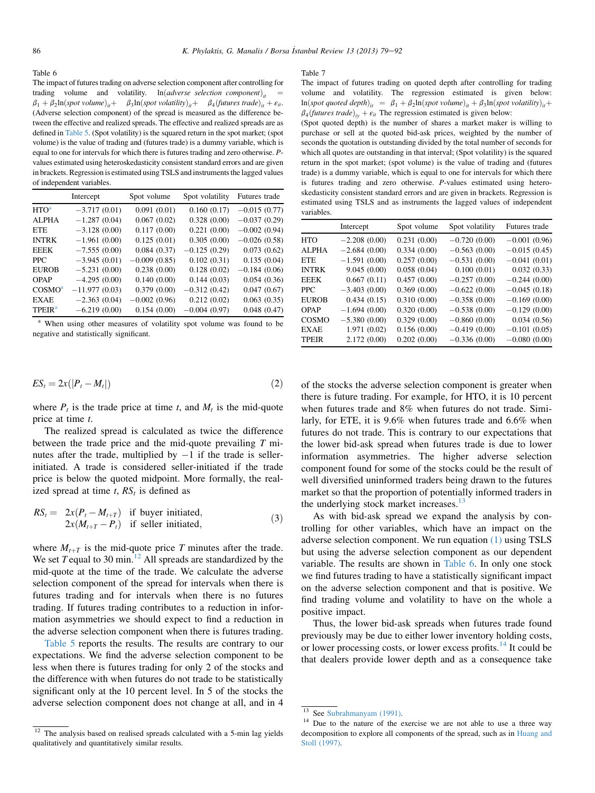<span id="page-8-0"></span>The impact of futures trading on adverse selection component after controlling for trading volume and volatility.  $ln(adverse\,\,\, selection\,\,\,component)_{it}$  =  $\beta_1 + \beta_2 \ln(\text{spot volume})_{ii} + \beta_3 \ln(\text{spot volatility})_{ii} + \beta_4 (\text{futures trade})_{ii} + \varepsilon_{ii}.$ (Adverse selection component) of the spread is measured as the difference between the effective and realized spreads. The effective and realized spreads are as defined in [Table 5](#page-7-0). (Spot volatility) is the squared return in the spot market; (spot volume) is the value of trading and (futures trade) is a dummy variable, which is equal to one for intervals for which there is futures trading and zero otherwise. Pvalues estimated using heteroskedasticity consistent standard errors and are given in brackets. Regression is estimated using TSLS and instruments the lagged values of independent variables.

|                           | Intercept       | Spot volume    | Spot volatility | Futures trade  |
|---------------------------|-----------------|----------------|-----------------|----------------|
| HTO <sup>a</sup>          | $-3.717(0.01)$  | 0.091(0.01)    | 0.160(0.17)     | $-0.015(0.77)$ |
| <b>ALPHA</b>              | $-1.287(0.04)$  | 0.067(0.02)    | 0.328(0.00)     | $-0.037(0.29)$ |
| <b>ETE</b>                | $-3.128(0.00)$  | 0.117(0.00)    | 0.221(0.00)     | $-0.002(0.94)$ |
| <b>INTRK</b>              | $-1.961(0.00)$  | 0.125(0.01)    | 0.305(0.00)     | $-0.026(0.58)$ |
| <b>EEEK</b>               | $-7.555(0.00)$  | 0.084(0.37)    | $-0.125(0.29)$  | 0.073(0.62)    |
| <b>PPC</b>                | $-3.945(0.01)$  | $-0.009(0.85)$ | 0.102(0.31)     | 0.135(0.04)    |
| <b>EUROB</b>              | $-5.231(0.00)$  | 0.238(0.00)    | 0.128(0.02)     | $-0.184(0.06)$ |
| OPAP                      | $-4.295(0.00)$  | 0.140(0.00)    | 0.144(0.03)     | 0.054(0.36)    |
| COSMO <sup>a</sup>        | $-11.977(0.03)$ | 0.379(0.00)    | $-0.312(0.42)$  | 0.047(0.67)    |
| <b>EXAE</b>               | $-2.363(0.04)$  | $-0.002(0.96)$ | 0.212(0.02)     | 0.063(0.35)    |
| <b>TPEIR</b> <sup>a</sup> | $-6.219(0.00)$  | 0.154(0.00)    | $-0.004(0.97)$  | 0.048(0.47)    |

When using other measures of volatility spot volume was found to be negative and statistically significant.

$$
ES_t = 2x(|P_t - M_t|) \tag{2}
$$

where  $P_t$  is the trade price at time t, and  $M_t$  is the mid-quote price at time t.

The realized spread is calculated as twice the difference between the trade price and the mid-quote prevailing  $T$  minutes after the trade, multiplied by  $-1$  if the trade is sellerinitiated. A trade is considered seller-initiated if the trade price is below the quoted midpoint. More formally, the realized spread at time t,  $RS_t$  is defined as

$$
RS_t = 2x(P_t - M_{t+T})
$$
 if buyer initiated,  
 
$$
2x(M_{t+T} - P_t)
$$
 if seller initiated, (3)

where  $M_{t+T}$  is the mid-quote price T minutes after the trade. We set  $T$  equal to 30 min.<sup>12</sup> All spreads are standardized by the mid-quote at the time of the trade. We calculate the adverse selection component of the spread for intervals when there is futures trading and for intervals when there is no futures trading. If futures trading contributes to a reduction in information asymmetries we should expect to find a reduction in the adverse selection component when there is futures trading.

[Table 5](#page-7-0) reports the results. The results are contrary to our expectations. We find the adverse selection component to be less when there is futures trading for only 2 of the stocks and the difference with when futures do not trade to be statistically significant only at the 10 percent level. In 5 of the stocks the adverse selection component does not change at all, and in 4

#### Table 7

The impact of futures trading on quoted depth after controlling for trading volume and volatility. The regression estimated is given below:  $ln(spot \; quoted \; depth)_{it} = \beta_1 + \beta_2 ln(spot \; volume)_{it} + \beta_3 ln(spot \; volatility)_{it} +$  $\beta_4$ (futures trade)<sub>iv</sub> +  $\varepsilon_{it}$  The regression estimated is given below:

(Spot quoted depth) is the number of shares a market maker is willing to purchase or sell at the quoted bid-ask prices, weighted by the number of seconds the quotation is outstanding divided by the total number of seconds for which all quotes are outstanding in that interval; (Spot volatility) is the squared return in the spot market; (spot volume) is the value of trading and (futures trade) is a dummy variable, which is equal to one for intervals for which there is futures trading and zero otherwise. P-values estimated using heteroskedasticity consistent standard errors and are given in brackets. Regression is estimated using TSLS and as instruments the lagged values of independent variables.

|              | Intercept      | Spot volume | Spot volatility | Futures trade  |
|--------------|----------------|-------------|-----------------|----------------|
| <b>HTO</b>   | $-2.208(0.00)$ | 0.231(0.00) | $-0.720(0.00)$  | $-0.001(0.96)$ |
| <b>ALPHA</b> | $-2.684(0.00)$ | 0.334(0.00) | $-0.563(0.00)$  | $-0.015(0.45)$ |
| ETE.         | $-1.591(0.00)$ | 0.257(0.00) | $-0.531(0.00)$  | $-0.041(0.01)$ |
| <b>INTRK</b> | 9.045(0.00)    | 0.058(0.04) | 0.100(0.01)     | 0.032(0.33)    |
| <b>EEEK</b>  | 0.667(0.11)    | 0.457(0.00) | $-0.257(0.00)$  | $-0.244(0.00)$ |
| <b>PPC</b>   | $-3.403(0.00)$ | 0.369(0.00) | $-0.622(0.00)$  | $-0.045(0.18)$ |
| <b>EUROB</b> | 0.434(0.15)    | 0.310(0.00) | $-0.358(0.00)$  | $-0.169(0.00)$ |
| OPAP         | $-1.694(0.00)$ | 0.320(0.00) | $-0.538(0.00)$  | $-0.129(0.00)$ |
| COSMO        | $-5.380(0.00)$ | 0.329(0.00) | $-0.860(0.00)$  | 0.034(0.56)    |
| <b>EXAE</b>  | 1.971 (0.02)   | 0.156(0.00) | $-0.419(0.00)$  | $-0.101(0.05)$ |
| <b>TPEIR</b> | 2.172(0.00)    | 0.202(0.00) | $-0.336(0.00)$  | $-0.080(0.00)$ |

of the stocks the adverse selection component is greater when there is future trading. For example, for HTO, it is 10 percent when futures trade and 8% when futures do not trade. Similarly, for ETE, it is 9.6% when futures trade and 6.6% when futures do not trade. This is contrary to our expectations that the lower bid-ask spread when futures trade is due to lower information asymmetries. The higher adverse selection component found for some of the stocks could be the result of well diversified uninformed traders being drawn to the futures market so that the proportion of potentially informed traders in the underlying stock market increases.<sup>13</sup>

As with bid-ask spread we expand the analysis by controlling for other variables, which have an impact on the adverse selection component. We run equation [\(1\)](#page-6-0) using TSLS but using the adverse selection component as our dependent variable. The results are shown in Table 6. In only one stock we find futures trading to have a statistically significant impact on the adverse selection component and that is positive. We find trading volume and volatility to have on the whole a positive impact.

Thus, the lower bid-ask spreads when futures trade found previously may be due to either lower inventory holding costs, or lower processing costs, or lower excess profits.<sup>14</sup> It could be that dealers provide lower depth and as a consequence take

 $12$  The analysis based on realised spreads calculated with a 5-min lag yields qualitatively and quantitatively similar results.

 $\frac{13}{14}$  See [Subrahmanyam \(1991\)](#page-14-0).<br><sup>14</sup> Due to the nature of the exercise we are not able to use a three way decomposition to explore all components of the spread, such as in [Huang and](#page-14-0) [Stoll \(1997\).](#page-14-0)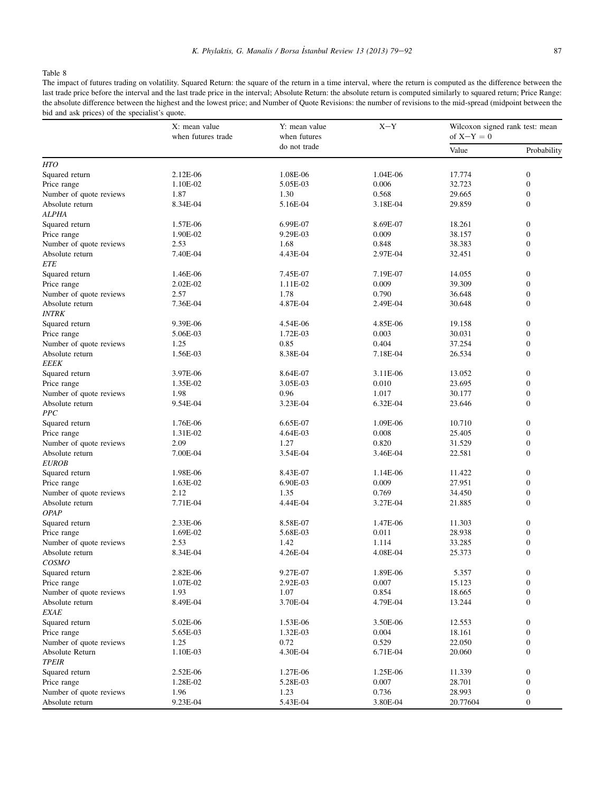<span id="page-9-0"></span>The impact of futures trading on volatility. Squared Return: the square of the return in a time interval, where the return is computed as the difference between the last trade price before the interval and the last trade price in the interval; Absolute Return: the absolute return is computed similarly to squared return; Price Range: the absolute difference between the highest and the lowest price; and Number of Quote Revisions: the number of revisions to the mid-spread (midpoint between the bid and ask prices) of the specialist's quote.

| do not trade<br>Value<br>Probability<br><b>HTO</b><br>$\mathbf{0}$<br>Squared return<br>2.12E-06<br>1.08E-06<br>1.04E-06<br>17.774<br>0.006<br>32.723<br>$\boldsymbol{0}$<br>Price range<br>1.10E-02<br>5.05E-03<br>Number of quote reviews<br>1.87<br>1.30<br>0.568<br>$\boldsymbol{0}$<br>29.665<br>5.16E-04<br>Absolute return<br>8.34E-04<br>3.18E-04<br>29.859<br>$\mathbf{0}$<br><b>ALPHA</b><br>$\mathbf{0}$<br>Squared return<br>1.57E-06<br>6.99E-07<br>8.69E-07<br>18.261<br>$\boldsymbol{0}$<br>Price range<br>1.90E-02<br>9.29E-03<br>0.009<br>38.157<br>Number of quote reviews<br>38.383<br>$\boldsymbol{0}$<br>2.53<br>1.68<br>0.848<br>4.43E-04<br>Absolute return<br>7.40E-04<br>2.97E-04<br>32.451<br>$\boldsymbol{0}$<br><b>ETE</b><br>7.45E-07<br>$\mathbf{0}$<br>Squared return<br>1.46E-06<br>7.19E-07<br>14.055<br>$\boldsymbol{0}$<br>Price range<br>$2.02E-02$<br>0.009<br>39.309<br>1.11E-02<br>Number of quote reviews<br>0.790<br>$\boldsymbol{0}$<br>2.57<br>1.78<br>36.648<br>7.36E-04<br>4.87E-04<br>2.49E-04<br>Absolute return<br>30.648<br>$\mathbf{0}$<br><b>INTRK</b><br>$\mathbf{0}$<br>Squared return<br>9.39E-06<br>4.54E-06<br>4.85E-06<br>19.158<br>0.003<br>$\mathbf{0}$<br>Price range<br>5.06E-03<br>1.72E-03<br>30.031<br>Number of quote reviews<br>0.404<br>$\boldsymbol{0}$<br>1.25<br>0.85<br>37.254<br>8.38E-04<br>26.534<br>$\mathbf{0}$<br>Absolute return<br>1.56E-03<br>7.18E-04<br><b>EEEK</b><br>Squared return<br>3.97E-06<br>8.64E-07<br>3.11E-06<br>13.052<br>$\boldsymbol{0}$<br>$\mathbf{0}$<br>Price range<br>1.35E-02<br>3.05E-03<br>0.010<br>23.695<br>Number of quote reviews<br>1.98<br>0.96<br>1.017<br>$\boldsymbol{0}$<br>30.177<br>3.23E-04<br>Absolute return<br>9.54E-04<br>6.32E-04<br>23.646<br>$\boldsymbol{0}$<br><b>PPC</b><br>$\mathbf{0}$<br>Squared return<br>1.76E-06<br>6.65E-07<br>1.09E-06<br>10.710<br>0.008<br>Price range<br>4.64E-03<br>25.405<br>$\boldsymbol{0}$<br>1.31E-02<br>Number of quote reviews<br>2.09<br>1.27<br>0.820<br>31.529<br>$\mathbf{0}$<br>$\mathbf{0}$<br>Absolute return<br>7.00E-04<br>3.54E-04<br>3.46E-04<br>22.581<br><b>EUROB</b><br>Squared return<br>1.98E-06<br>8.43E-07<br>1.14E-06<br>11.422<br>$\boldsymbol{0}$<br>0.009<br>27.951<br>$\boldsymbol{0}$<br>Price range<br>1.63E-02<br>6.90E-03<br>Number of quote reviews<br>0.769<br>$\boldsymbol{0}$<br>2.12<br>1.35<br>34.450<br>Absolute return<br>7.71E-04<br>4.44E-04<br>3.27E-04<br>21.885<br>$\mathbf{0}$<br>OPAP<br>8.58E-07<br>1.47E-06<br>$\mathbf{0}$<br>Squared return<br>2.33E-06<br>11.303<br>Price range<br>1.69E-02<br>5.68E-03<br>0.011<br>28.938<br>$\boldsymbol{0}$<br>$\boldsymbol{0}$<br>Number of quote reviews<br>2.53<br>1.42<br>1.114<br>33.285<br>8.34E-04<br>4.26E-04<br>4.08E-04<br>Absolute return<br>25.373<br>$\mathbf{0}$<br>COSMO<br>Squared return<br>2.82E-06<br>9.27E-07<br>1.89E-06<br>5.357<br>$\boldsymbol{0}$<br>0.007<br>Price range<br>1.07E-02<br>2.92E-03<br>15.123<br>$\boldsymbol{0}$<br>Number of quote reviews<br>0.854<br>18.665<br>$\boldsymbol{0}$<br>1.93<br>1.07<br>Absolute return<br>8.49E-04<br>3.70E-04<br>4.79E-04<br>13.244<br>$\boldsymbol{0}$<br><b>EXAE</b><br>Squared return<br>$\boldsymbol{0}$<br>5.02E-06<br>1.53E-06<br>3.50E-06<br>12.553<br>1.32E-03<br>0.004<br>18.161<br>$\boldsymbol{0}$<br>Price range<br>5.65E-03<br>Number of quote reviews<br>0.72<br>0.529<br>22.050<br>1.25<br>$\boldsymbol{0}$<br>Absolute Return<br>$\mathbf{0}$<br>1.10E-03<br>4.30E-04<br>6.71E-04<br>20.060<br><b>TPEIR</b><br>Squared return<br>1.27E-06<br>11.339<br>$\boldsymbol{0}$<br>2.52E-06<br>1.25E-06<br>Price range<br>0.007<br>$\boldsymbol{0}$<br>5.28E-03<br>28.701<br>1.28E-02<br>1.23<br>0.736<br>Number of quote reviews<br>1.96<br>28.993<br>$\boldsymbol{0}$<br>Absolute return<br>9.23E-04<br>5.43E-04<br>3.80E-04<br>$\boldsymbol{0}$<br>20.77604 | X: mean value<br>when futures trade | Y: mean value<br>when futures | $X-Y$ | Wilcoxon signed rank test: mean<br>of $X-Y = 0$ |  |
|-----------------------------------------------------------------------------------------------------------------------------------------------------------------------------------------------------------------------------------------------------------------------------------------------------------------------------------------------------------------------------------------------------------------------------------------------------------------------------------------------------------------------------------------------------------------------------------------------------------------------------------------------------------------------------------------------------------------------------------------------------------------------------------------------------------------------------------------------------------------------------------------------------------------------------------------------------------------------------------------------------------------------------------------------------------------------------------------------------------------------------------------------------------------------------------------------------------------------------------------------------------------------------------------------------------------------------------------------------------------------------------------------------------------------------------------------------------------------------------------------------------------------------------------------------------------------------------------------------------------------------------------------------------------------------------------------------------------------------------------------------------------------------------------------------------------------------------------------------------------------------------------------------------------------------------------------------------------------------------------------------------------------------------------------------------------------------------------------------------------------------------------------------------------------------------------------------------------------------------------------------------------------------------------------------------------------------------------------------------------------------------------------------------------------------------------------------------------------------------------------------------------------------------------------------------------------------------------------------------------------------------------------------------------------------------------------------------------------------------------------------------------------------------------------------------------------------------------------------------------------------------------------------------------------------------------------------------------------------------------------------------------------------------------------------------------------------------------------------------------------------------------------------------------------------------------------------------------------------------------------------------------------------------------------------------------------------------------------------------------------------------------------------------------------------------------------------------------------------------------------------------------------------------------------------------------------------------------------------------------------------------------------------------------------------------------------------------------------------------------------------------------------------------------------------------------------------------------------------------------------------------------------------|-------------------------------------|-------------------------------|-------|-------------------------------------------------|--|
|                                                                                                                                                                                                                                                                                                                                                                                                                                                                                                                                                                                                                                                                                                                                                                                                                                                                                                                                                                                                                                                                                                                                                                                                                                                                                                                                                                                                                                                                                                                                                                                                                                                                                                                                                                                                                                                                                                                                                                                                                                                                                                                                                                                                                                                                                                                                                                                                                                                                                                                                                                                                                                                                                                                                                                                                                                                                                                                                                                                                                                                                                                                                                                                                                                                                                                                                                                                                                                                                                                                                                                                                                                                                                                                                                                                                                                                                                                     |                                     |                               |       |                                                 |  |
|                                                                                                                                                                                                                                                                                                                                                                                                                                                                                                                                                                                                                                                                                                                                                                                                                                                                                                                                                                                                                                                                                                                                                                                                                                                                                                                                                                                                                                                                                                                                                                                                                                                                                                                                                                                                                                                                                                                                                                                                                                                                                                                                                                                                                                                                                                                                                                                                                                                                                                                                                                                                                                                                                                                                                                                                                                                                                                                                                                                                                                                                                                                                                                                                                                                                                                                                                                                                                                                                                                                                                                                                                                                                                                                                                                                                                                                                                                     |                                     |                               |       |                                                 |  |
|                                                                                                                                                                                                                                                                                                                                                                                                                                                                                                                                                                                                                                                                                                                                                                                                                                                                                                                                                                                                                                                                                                                                                                                                                                                                                                                                                                                                                                                                                                                                                                                                                                                                                                                                                                                                                                                                                                                                                                                                                                                                                                                                                                                                                                                                                                                                                                                                                                                                                                                                                                                                                                                                                                                                                                                                                                                                                                                                                                                                                                                                                                                                                                                                                                                                                                                                                                                                                                                                                                                                                                                                                                                                                                                                                                                                                                                                                                     |                                     |                               |       |                                                 |  |
|                                                                                                                                                                                                                                                                                                                                                                                                                                                                                                                                                                                                                                                                                                                                                                                                                                                                                                                                                                                                                                                                                                                                                                                                                                                                                                                                                                                                                                                                                                                                                                                                                                                                                                                                                                                                                                                                                                                                                                                                                                                                                                                                                                                                                                                                                                                                                                                                                                                                                                                                                                                                                                                                                                                                                                                                                                                                                                                                                                                                                                                                                                                                                                                                                                                                                                                                                                                                                                                                                                                                                                                                                                                                                                                                                                                                                                                                                                     |                                     |                               |       |                                                 |  |
|                                                                                                                                                                                                                                                                                                                                                                                                                                                                                                                                                                                                                                                                                                                                                                                                                                                                                                                                                                                                                                                                                                                                                                                                                                                                                                                                                                                                                                                                                                                                                                                                                                                                                                                                                                                                                                                                                                                                                                                                                                                                                                                                                                                                                                                                                                                                                                                                                                                                                                                                                                                                                                                                                                                                                                                                                                                                                                                                                                                                                                                                                                                                                                                                                                                                                                                                                                                                                                                                                                                                                                                                                                                                                                                                                                                                                                                                                                     |                                     |                               |       |                                                 |  |
|                                                                                                                                                                                                                                                                                                                                                                                                                                                                                                                                                                                                                                                                                                                                                                                                                                                                                                                                                                                                                                                                                                                                                                                                                                                                                                                                                                                                                                                                                                                                                                                                                                                                                                                                                                                                                                                                                                                                                                                                                                                                                                                                                                                                                                                                                                                                                                                                                                                                                                                                                                                                                                                                                                                                                                                                                                                                                                                                                                                                                                                                                                                                                                                                                                                                                                                                                                                                                                                                                                                                                                                                                                                                                                                                                                                                                                                                                                     |                                     |                               |       |                                                 |  |
|                                                                                                                                                                                                                                                                                                                                                                                                                                                                                                                                                                                                                                                                                                                                                                                                                                                                                                                                                                                                                                                                                                                                                                                                                                                                                                                                                                                                                                                                                                                                                                                                                                                                                                                                                                                                                                                                                                                                                                                                                                                                                                                                                                                                                                                                                                                                                                                                                                                                                                                                                                                                                                                                                                                                                                                                                                                                                                                                                                                                                                                                                                                                                                                                                                                                                                                                                                                                                                                                                                                                                                                                                                                                                                                                                                                                                                                                                                     |                                     |                               |       |                                                 |  |
|                                                                                                                                                                                                                                                                                                                                                                                                                                                                                                                                                                                                                                                                                                                                                                                                                                                                                                                                                                                                                                                                                                                                                                                                                                                                                                                                                                                                                                                                                                                                                                                                                                                                                                                                                                                                                                                                                                                                                                                                                                                                                                                                                                                                                                                                                                                                                                                                                                                                                                                                                                                                                                                                                                                                                                                                                                                                                                                                                                                                                                                                                                                                                                                                                                                                                                                                                                                                                                                                                                                                                                                                                                                                                                                                                                                                                                                                                                     |                                     |                               |       |                                                 |  |
|                                                                                                                                                                                                                                                                                                                                                                                                                                                                                                                                                                                                                                                                                                                                                                                                                                                                                                                                                                                                                                                                                                                                                                                                                                                                                                                                                                                                                                                                                                                                                                                                                                                                                                                                                                                                                                                                                                                                                                                                                                                                                                                                                                                                                                                                                                                                                                                                                                                                                                                                                                                                                                                                                                                                                                                                                                                                                                                                                                                                                                                                                                                                                                                                                                                                                                                                                                                                                                                                                                                                                                                                                                                                                                                                                                                                                                                                                                     |                                     |                               |       |                                                 |  |
|                                                                                                                                                                                                                                                                                                                                                                                                                                                                                                                                                                                                                                                                                                                                                                                                                                                                                                                                                                                                                                                                                                                                                                                                                                                                                                                                                                                                                                                                                                                                                                                                                                                                                                                                                                                                                                                                                                                                                                                                                                                                                                                                                                                                                                                                                                                                                                                                                                                                                                                                                                                                                                                                                                                                                                                                                                                                                                                                                                                                                                                                                                                                                                                                                                                                                                                                                                                                                                                                                                                                                                                                                                                                                                                                                                                                                                                                                                     |                                     |                               |       |                                                 |  |
|                                                                                                                                                                                                                                                                                                                                                                                                                                                                                                                                                                                                                                                                                                                                                                                                                                                                                                                                                                                                                                                                                                                                                                                                                                                                                                                                                                                                                                                                                                                                                                                                                                                                                                                                                                                                                                                                                                                                                                                                                                                                                                                                                                                                                                                                                                                                                                                                                                                                                                                                                                                                                                                                                                                                                                                                                                                                                                                                                                                                                                                                                                                                                                                                                                                                                                                                                                                                                                                                                                                                                                                                                                                                                                                                                                                                                                                                                                     |                                     |                               |       |                                                 |  |
|                                                                                                                                                                                                                                                                                                                                                                                                                                                                                                                                                                                                                                                                                                                                                                                                                                                                                                                                                                                                                                                                                                                                                                                                                                                                                                                                                                                                                                                                                                                                                                                                                                                                                                                                                                                                                                                                                                                                                                                                                                                                                                                                                                                                                                                                                                                                                                                                                                                                                                                                                                                                                                                                                                                                                                                                                                                                                                                                                                                                                                                                                                                                                                                                                                                                                                                                                                                                                                                                                                                                                                                                                                                                                                                                                                                                                                                                                                     |                                     |                               |       |                                                 |  |
|                                                                                                                                                                                                                                                                                                                                                                                                                                                                                                                                                                                                                                                                                                                                                                                                                                                                                                                                                                                                                                                                                                                                                                                                                                                                                                                                                                                                                                                                                                                                                                                                                                                                                                                                                                                                                                                                                                                                                                                                                                                                                                                                                                                                                                                                                                                                                                                                                                                                                                                                                                                                                                                                                                                                                                                                                                                                                                                                                                                                                                                                                                                                                                                                                                                                                                                                                                                                                                                                                                                                                                                                                                                                                                                                                                                                                                                                                                     |                                     |                               |       |                                                 |  |
|                                                                                                                                                                                                                                                                                                                                                                                                                                                                                                                                                                                                                                                                                                                                                                                                                                                                                                                                                                                                                                                                                                                                                                                                                                                                                                                                                                                                                                                                                                                                                                                                                                                                                                                                                                                                                                                                                                                                                                                                                                                                                                                                                                                                                                                                                                                                                                                                                                                                                                                                                                                                                                                                                                                                                                                                                                                                                                                                                                                                                                                                                                                                                                                                                                                                                                                                                                                                                                                                                                                                                                                                                                                                                                                                                                                                                                                                                                     |                                     |                               |       |                                                 |  |
|                                                                                                                                                                                                                                                                                                                                                                                                                                                                                                                                                                                                                                                                                                                                                                                                                                                                                                                                                                                                                                                                                                                                                                                                                                                                                                                                                                                                                                                                                                                                                                                                                                                                                                                                                                                                                                                                                                                                                                                                                                                                                                                                                                                                                                                                                                                                                                                                                                                                                                                                                                                                                                                                                                                                                                                                                                                                                                                                                                                                                                                                                                                                                                                                                                                                                                                                                                                                                                                                                                                                                                                                                                                                                                                                                                                                                                                                                                     |                                     |                               |       |                                                 |  |
|                                                                                                                                                                                                                                                                                                                                                                                                                                                                                                                                                                                                                                                                                                                                                                                                                                                                                                                                                                                                                                                                                                                                                                                                                                                                                                                                                                                                                                                                                                                                                                                                                                                                                                                                                                                                                                                                                                                                                                                                                                                                                                                                                                                                                                                                                                                                                                                                                                                                                                                                                                                                                                                                                                                                                                                                                                                                                                                                                                                                                                                                                                                                                                                                                                                                                                                                                                                                                                                                                                                                                                                                                                                                                                                                                                                                                                                                                                     |                                     |                               |       |                                                 |  |
|                                                                                                                                                                                                                                                                                                                                                                                                                                                                                                                                                                                                                                                                                                                                                                                                                                                                                                                                                                                                                                                                                                                                                                                                                                                                                                                                                                                                                                                                                                                                                                                                                                                                                                                                                                                                                                                                                                                                                                                                                                                                                                                                                                                                                                                                                                                                                                                                                                                                                                                                                                                                                                                                                                                                                                                                                                                                                                                                                                                                                                                                                                                                                                                                                                                                                                                                                                                                                                                                                                                                                                                                                                                                                                                                                                                                                                                                                                     |                                     |                               |       |                                                 |  |
|                                                                                                                                                                                                                                                                                                                                                                                                                                                                                                                                                                                                                                                                                                                                                                                                                                                                                                                                                                                                                                                                                                                                                                                                                                                                                                                                                                                                                                                                                                                                                                                                                                                                                                                                                                                                                                                                                                                                                                                                                                                                                                                                                                                                                                                                                                                                                                                                                                                                                                                                                                                                                                                                                                                                                                                                                                                                                                                                                                                                                                                                                                                                                                                                                                                                                                                                                                                                                                                                                                                                                                                                                                                                                                                                                                                                                                                                                                     |                                     |                               |       |                                                 |  |
|                                                                                                                                                                                                                                                                                                                                                                                                                                                                                                                                                                                                                                                                                                                                                                                                                                                                                                                                                                                                                                                                                                                                                                                                                                                                                                                                                                                                                                                                                                                                                                                                                                                                                                                                                                                                                                                                                                                                                                                                                                                                                                                                                                                                                                                                                                                                                                                                                                                                                                                                                                                                                                                                                                                                                                                                                                                                                                                                                                                                                                                                                                                                                                                                                                                                                                                                                                                                                                                                                                                                                                                                                                                                                                                                                                                                                                                                                                     |                                     |                               |       |                                                 |  |
|                                                                                                                                                                                                                                                                                                                                                                                                                                                                                                                                                                                                                                                                                                                                                                                                                                                                                                                                                                                                                                                                                                                                                                                                                                                                                                                                                                                                                                                                                                                                                                                                                                                                                                                                                                                                                                                                                                                                                                                                                                                                                                                                                                                                                                                                                                                                                                                                                                                                                                                                                                                                                                                                                                                                                                                                                                                                                                                                                                                                                                                                                                                                                                                                                                                                                                                                                                                                                                                                                                                                                                                                                                                                                                                                                                                                                                                                                                     |                                     |                               |       |                                                 |  |
|                                                                                                                                                                                                                                                                                                                                                                                                                                                                                                                                                                                                                                                                                                                                                                                                                                                                                                                                                                                                                                                                                                                                                                                                                                                                                                                                                                                                                                                                                                                                                                                                                                                                                                                                                                                                                                                                                                                                                                                                                                                                                                                                                                                                                                                                                                                                                                                                                                                                                                                                                                                                                                                                                                                                                                                                                                                                                                                                                                                                                                                                                                                                                                                                                                                                                                                                                                                                                                                                                                                                                                                                                                                                                                                                                                                                                                                                                                     |                                     |                               |       |                                                 |  |
|                                                                                                                                                                                                                                                                                                                                                                                                                                                                                                                                                                                                                                                                                                                                                                                                                                                                                                                                                                                                                                                                                                                                                                                                                                                                                                                                                                                                                                                                                                                                                                                                                                                                                                                                                                                                                                                                                                                                                                                                                                                                                                                                                                                                                                                                                                                                                                                                                                                                                                                                                                                                                                                                                                                                                                                                                                                                                                                                                                                                                                                                                                                                                                                                                                                                                                                                                                                                                                                                                                                                                                                                                                                                                                                                                                                                                                                                                                     |                                     |                               |       |                                                 |  |
|                                                                                                                                                                                                                                                                                                                                                                                                                                                                                                                                                                                                                                                                                                                                                                                                                                                                                                                                                                                                                                                                                                                                                                                                                                                                                                                                                                                                                                                                                                                                                                                                                                                                                                                                                                                                                                                                                                                                                                                                                                                                                                                                                                                                                                                                                                                                                                                                                                                                                                                                                                                                                                                                                                                                                                                                                                                                                                                                                                                                                                                                                                                                                                                                                                                                                                                                                                                                                                                                                                                                                                                                                                                                                                                                                                                                                                                                                                     |                                     |                               |       |                                                 |  |
|                                                                                                                                                                                                                                                                                                                                                                                                                                                                                                                                                                                                                                                                                                                                                                                                                                                                                                                                                                                                                                                                                                                                                                                                                                                                                                                                                                                                                                                                                                                                                                                                                                                                                                                                                                                                                                                                                                                                                                                                                                                                                                                                                                                                                                                                                                                                                                                                                                                                                                                                                                                                                                                                                                                                                                                                                                                                                                                                                                                                                                                                                                                                                                                                                                                                                                                                                                                                                                                                                                                                                                                                                                                                                                                                                                                                                                                                                                     |                                     |                               |       |                                                 |  |
|                                                                                                                                                                                                                                                                                                                                                                                                                                                                                                                                                                                                                                                                                                                                                                                                                                                                                                                                                                                                                                                                                                                                                                                                                                                                                                                                                                                                                                                                                                                                                                                                                                                                                                                                                                                                                                                                                                                                                                                                                                                                                                                                                                                                                                                                                                                                                                                                                                                                                                                                                                                                                                                                                                                                                                                                                                                                                                                                                                                                                                                                                                                                                                                                                                                                                                                                                                                                                                                                                                                                                                                                                                                                                                                                                                                                                                                                                                     |                                     |                               |       |                                                 |  |
|                                                                                                                                                                                                                                                                                                                                                                                                                                                                                                                                                                                                                                                                                                                                                                                                                                                                                                                                                                                                                                                                                                                                                                                                                                                                                                                                                                                                                                                                                                                                                                                                                                                                                                                                                                                                                                                                                                                                                                                                                                                                                                                                                                                                                                                                                                                                                                                                                                                                                                                                                                                                                                                                                                                                                                                                                                                                                                                                                                                                                                                                                                                                                                                                                                                                                                                                                                                                                                                                                                                                                                                                                                                                                                                                                                                                                                                                                                     |                                     |                               |       |                                                 |  |
|                                                                                                                                                                                                                                                                                                                                                                                                                                                                                                                                                                                                                                                                                                                                                                                                                                                                                                                                                                                                                                                                                                                                                                                                                                                                                                                                                                                                                                                                                                                                                                                                                                                                                                                                                                                                                                                                                                                                                                                                                                                                                                                                                                                                                                                                                                                                                                                                                                                                                                                                                                                                                                                                                                                                                                                                                                                                                                                                                                                                                                                                                                                                                                                                                                                                                                                                                                                                                                                                                                                                                                                                                                                                                                                                                                                                                                                                                                     |                                     |                               |       |                                                 |  |
|                                                                                                                                                                                                                                                                                                                                                                                                                                                                                                                                                                                                                                                                                                                                                                                                                                                                                                                                                                                                                                                                                                                                                                                                                                                                                                                                                                                                                                                                                                                                                                                                                                                                                                                                                                                                                                                                                                                                                                                                                                                                                                                                                                                                                                                                                                                                                                                                                                                                                                                                                                                                                                                                                                                                                                                                                                                                                                                                                                                                                                                                                                                                                                                                                                                                                                                                                                                                                                                                                                                                                                                                                                                                                                                                                                                                                                                                                                     |                                     |                               |       |                                                 |  |
|                                                                                                                                                                                                                                                                                                                                                                                                                                                                                                                                                                                                                                                                                                                                                                                                                                                                                                                                                                                                                                                                                                                                                                                                                                                                                                                                                                                                                                                                                                                                                                                                                                                                                                                                                                                                                                                                                                                                                                                                                                                                                                                                                                                                                                                                                                                                                                                                                                                                                                                                                                                                                                                                                                                                                                                                                                                                                                                                                                                                                                                                                                                                                                                                                                                                                                                                                                                                                                                                                                                                                                                                                                                                                                                                                                                                                                                                                                     |                                     |                               |       |                                                 |  |
|                                                                                                                                                                                                                                                                                                                                                                                                                                                                                                                                                                                                                                                                                                                                                                                                                                                                                                                                                                                                                                                                                                                                                                                                                                                                                                                                                                                                                                                                                                                                                                                                                                                                                                                                                                                                                                                                                                                                                                                                                                                                                                                                                                                                                                                                                                                                                                                                                                                                                                                                                                                                                                                                                                                                                                                                                                                                                                                                                                                                                                                                                                                                                                                                                                                                                                                                                                                                                                                                                                                                                                                                                                                                                                                                                                                                                                                                                                     |                                     |                               |       |                                                 |  |
|                                                                                                                                                                                                                                                                                                                                                                                                                                                                                                                                                                                                                                                                                                                                                                                                                                                                                                                                                                                                                                                                                                                                                                                                                                                                                                                                                                                                                                                                                                                                                                                                                                                                                                                                                                                                                                                                                                                                                                                                                                                                                                                                                                                                                                                                                                                                                                                                                                                                                                                                                                                                                                                                                                                                                                                                                                                                                                                                                                                                                                                                                                                                                                                                                                                                                                                                                                                                                                                                                                                                                                                                                                                                                                                                                                                                                                                                                                     |                                     |                               |       |                                                 |  |
|                                                                                                                                                                                                                                                                                                                                                                                                                                                                                                                                                                                                                                                                                                                                                                                                                                                                                                                                                                                                                                                                                                                                                                                                                                                                                                                                                                                                                                                                                                                                                                                                                                                                                                                                                                                                                                                                                                                                                                                                                                                                                                                                                                                                                                                                                                                                                                                                                                                                                                                                                                                                                                                                                                                                                                                                                                                                                                                                                                                                                                                                                                                                                                                                                                                                                                                                                                                                                                                                                                                                                                                                                                                                                                                                                                                                                                                                                                     |                                     |                               |       |                                                 |  |
|                                                                                                                                                                                                                                                                                                                                                                                                                                                                                                                                                                                                                                                                                                                                                                                                                                                                                                                                                                                                                                                                                                                                                                                                                                                                                                                                                                                                                                                                                                                                                                                                                                                                                                                                                                                                                                                                                                                                                                                                                                                                                                                                                                                                                                                                                                                                                                                                                                                                                                                                                                                                                                                                                                                                                                                                                                                                                                                                                                                                                                                                                                                                                                                                                                                                                                                                                                                                                                                                                                                                                                                                                                                                                                                                                                                                                                                                                                     |                                     |                               |       |                                                 |  |
|                                                                                                                                                                                                                                                                                                                                                                                                                                                                                                                                                                                                                                                                                                                                                                                                                                                                                                                                                                                                                                                                                                                                                                                                                                                                                                                                                                                                                                                                                                                                                                                                                                                                                                                                                                                                                                                                                                                                                                                                                                                                                                                                                                                                                                                                                                                                                                                                                                                                                                                                                                                                                                                                                                                                                                                                                                                                                                                                                                                                                                                                                                                                                                                                                                                                                                                                                                                                                                                                                                                                                                                                                                                                                                                                                                                                                                                                                                     |                                     |                               |       |                                                 |  |
|                                                                                                                                                                                                                                                                                                                                                                                                                                                                                                                                                                                                                                                                                                                                                                                                                                                                                                                                                                                                                                                                                                                                                                                                                                                                                                                                                                                                                                                                                                                                                                                                                                                                                                                                                                                                                                                                                                                                                                                                                                                                                                                                                                                                                                                                                                                                                                                                                                                                                                                                                                                                                                                                                                                                                                                                                                                                                                                                                                                                                                                                                                                                                                                                                                                                                                                                                                                                                                                                                                                                                                                                                                                                                                                                                                                                                                                                                                     |                                     |                               |       |                                                 |  |
|                                                                                                                                                                                                                                                                                                                                                                                                                                                                                                                                                                                                                                                                                                                                                                                                                                                                                                                                                                                                                                                                                                                                                                                                                                                                                                                                                                                                                                                                                                                                                                                                                                                                                                                                                                                                                                                                                                                                                                                                                                                                                                                                                                                                                                                                                                                                                                                                                                                                                                                                                                                                                                                                                                                                                                                                                                                                                                                                                                                                                                                                                                                                                                                                                                                                                                                                                                                                                                                                                                                                                                                                                                                                                                                                                                                                                                                                                                     |                                     |                               |       |                                                 |  |
|                                                                                                                                                                                                                                                                                                                                                                                                                                                                                                                                                                                                                                                                                                                                                                                                                                                                                                                                                                                                                                                                                                                                                                                                                                                                                                                                                                                                                                                                                                                                                                                                                                                                                                                                                                                                                                                                                                                                                                                                                                                                                                                                                                                                                                                                                                                                                                                                                                                                                                                                                                                                                                                                                                                                                                                                                                                                                                                                                                                                                                                                                                                                                                                                                                                                                                                                                                                                                                                                                                                                                                                                                                                                                                                                                                                                                                                                                                     |                                     |                               |       |                                                 |  |
|                                                                                                                                                                                                                                                                                                                                                                                                                                                                                                                                                                                                                                                                                                                                                                                                                                                                                                                                                                                                                                                                                                                                                                                                                                                                                                                                                                                                                                                                                                                                                                                                                                                                                                                                                                                                                                                                                                                                                                                                                                                                                                                                                                                                                                                                                                                                                                                                                                                                                                                                                                                                                                                                                                                                                                                                                                                                                                                                                                                                                                                                                                                                                                                                                                                                                                                                                                                                                                                                                                                                                                                                                                                                                                                                                                                                                                                                                                     |                                     |                               |       |                                                 |  |
|                                                                                                                                                                                                                                                                                                                                                                                                                                                                                                                                                                                                                                                                                                                                                                                                                                                                                                                                                                                                                                                                                                                                                                                                                                                                                                                                                                                                                                                                                                                                                                                                                                                                                                                                                                                                                                                                                                                                                                                                                                                                                                                                                                                                                                                                                                                                                                                                                                                                                                                                                                                                                                                                                                                                                                                                                                                                                                                                                                                                                                                                                                                                                                                                                                                                                                                                                                                                                                                                                                                                                                                                                                                                                                                                                                                                                                                                                                     |                                     |                               |       |                                                 |  |
|                                                                                                                                                                                                                                                                                                                                                                                                                                                                                                                                                                                                                                                                                                                                                                                                                                                                                                                                                                                                                                                                                                                                                                                                                                                                                                                                                                                                                                                                                                                                                                                                                                                                                                                                                                                                                                                                                                                                                                                                                                                                                                                                                                                                                                                                                                                                                                                                                                                                                                                                                                                                                                                                                                                                                                                                                                                                                                                                                                                                                                                                                                                                                                                                                                                                                                                                                                                                                                                                                                                                                                                                                                                                                                                                                                                                                                                                                                     |                                     |                               |       |                                                 |  |
|                                                                                                                                                                                                                                                                                                                                                                                                                                                                                                                                                                                                                                                                                                                                                                                                                                                                                                                                                                                                                                                                                                                                                                                                                                                                                                                                                                                                                                                                                                                                                                                                                                                                                                                                                                                                                                                                                                                                                                                                                                                                                                                                                                                                                                                                                                                                                                                                                                                                                                                                                                                                                                                                                                                                                                                                                                                                                                                                                                                                                                                                                                                                                                                                                                                                                                                                                                                                                                                                                                                                                                                                                                                                                                                                                                                                                                                                                                     |                                     |                               |       |                                                 |  |
|                                                                                                                                                                                                                                                                                                                                                                                                                                                                                                                                                                                                                                                                                                                                                                                                                                                                                                                                                                                                                                                                                                                                                                                                                                                                                                                                                                                                                                                                                                                                                                                                                                                                                                                                                                                                                                                                                                                                                                                                                                                                                                                                                                                                                                                                                                                                                                                                                                                                                                                                                                                                                                                                                                                                                                                                                                                                                                                                                                                                                                                                                                                                                                                                                                                                                                                                                                                                                                                                                                                                                                                                                                                                                                                                                                                                                                                                                                     |                                     |                               |       |                                                 |  |
|                                                                                                                                                                                                                                                                                                                                                                                                                                                                                                                                                                                                                                                                                                                                                                                                                                                                                                                                                                                                                                                                                                                                                                                                                                                                                                                                                                                                                                                                                                                                                                                                                                                                                                                                                                                                                                                                                                                                                                                                                                                                                                                                                                                                                                                                                                                                                                                                                                                                                                                                                                                                                                                                                                                                                                                                                                                                                                                                                                                                                                                                                                                                                                                                                                                                                                                                                                                                                                                                                                                                                                                                                                                                                                                                                                                                                                                                                                     |                                     |                               |       |                                                 |  |
|                                                                                                                                                                                                                                                                                                                                                                                                                                                                                                                                                                                                                                                                                                                                                                                                                                                                                                                                                                                                                                                                                                                                                                                                                                                                                                                                                                                                                                                                                                                                                                                                                                                                                                                                                                                                                                                                                                                                                                                                                                                                                                                                                                                                                                                                                                                                                                                                                                                                                                                                                                                                                                                                                                                                                                                                                                                                                                                                                                                                                                                                                                                                                                                                                                                                                                                                                                                                                                                                                                                                                                                                                                                                                                                                                                                                                                                                                                     |                                     |                               |       |                                                 |  |
|                                                                                                                                                                                                                                                                                                                                                                                                                                                                                                                                                                                                                                                                                                                                                                                                                                                                                                                                                                                                                                                                                                                                                                                                                                                                                                                                                                                                                                                                                                                                                                                                                                                                                                                                                                                                                                                                                                                                                                                                                                                                                                                                                                                                                                                                                                                                                                                                                                                                                                                                                                                                                                                                                                                                                                                                                                                                                                                                                                                                                                                                                                                                                                                                                                                                                                                                                                                                                                                                                                                                                                                                                                                                                                                                                                                                                                                                                                     |                                     |                               |       |                                                 |  |
|                                                                                                                                                                                                                                                                                                                                                                                                                                                                                                                                                                                                                                                                                                                                                                                                                                                                                                                                                                                                                                                                                                                                                                                                                                                                                                                                                                                                                                                                                                                                                                                                                                                                                                                                                                                                                                                                                                                                                                                                                                                                                                                                                                                                                                                                                                                                                                                                                                                                                                                                                                                                                                                                                                                                                                                                                                                                                                                                                                                                                                                                                                                                                                                                                                                                                                                                                                                                                                                                                                                                                                                                                                                                                                                                                                                                                                                                                                     |                                     |                               |       |                                                 |  |
|                                                                                                                                                                                                                                                                                                                                                                                                                                                                                                                                                                                                                                                                                                                                                                                                                                                                                                                                                                                                                                                                                                                                                                                                                                                                                                                                                                                                                                                                                                                                                                                                                                                                                                                                                                                                                                                                                                                                                                                                                                                                                                                                                                                                                                                                                                                                                                                                                                                                                                                                                                                                                                                                                                                                                                                                                                                                                                                                                                                                                                                                                                                                                                                                                                                                                                                                                                                                                                                                                                                                                                                                                                                                                                                                                                                                                                                                                                     |                                     |                               |       |                                                 |  |
|                                                                                                                                                                                                                                                                                                                                                                                                                                                                                                                                                                                                                                                                                                                                                                                                                                                                                                                                                                                                                                                                                                                                                                                                                                                                                                                                                                                                                                                                                                                                                                                                                                                                                                                                                                                                                                                                                                                                                                                                                                                                                                                                                                                                                                                                                                                                                                                                                                                                                                                                                                                                                                                                                                                                                                                                                                                                                                                                                                                                                                                                                                                                                                                                                                                                                                                                                                                                                                                                                                                                                                                                                                                                                                                                                                                                                                                                                                     |                                     |                               |       |                                                 |  |
|                                                                                                                                                                                                                                                                                                                                                                                                                                                                                                                                                                                                                                                                                                                                                                                                                                                                                                                                                                                                                                                                                                                                                                                                                                                                                                                                                                                                                                                                                                                                                                                                                                                                                                                                                                                                                                                                                                                                                                                                                                                                                                                                                                                                                                                                                                                                                                                                                                                                                                                                                                                                                                                                                                                                                                                                                                                                                                                                                                                                                                                                                                                                                                                                                                                                                                                                                                                                                                                                                                                                                                                                                                                                                                                                                                                                                                                                                                     |                                     |                               |       |                                                 |  |
|                                                                                                                                                                                                                                                                                                                                                                                                                                                                                                                                                                                                                                                                                                                                                                                                                                                                                                                                                                                                                                                                                                                                                                                                                                                                                                                                                                                                                                                                                                                                                                                                                                                                                                                                                                                                                                                                                                                                                                                                                                                                                                                                                                                                                                                                                                                                                                                                                                                                                                                                                                                                                                                                                                                                                                                                                                                                                                                                                                                                                                                                                                                                                                                                                                                                                                                                                                                                                                                                                                                                                                                                                                                                                                                                                                                                                                                                                                     |                                     |                               |       |                                                 |  |
|                                                                                                                                                                                                                                                                                                                                                                                                                                                                                                                                                                                                                                                                                                                                                                                                                                                                                                                                                                                                                                                                                                                                                                                                                                                                                                                                                                                                                                                                                                                                                                                                                                                                                                                                                                                                                                                                                                                                                                                                                                                                                                                                                                                                                                                                                                                                                                                                                                                                                                                                                                                                                                                                                                                                                                                                                                                                                                                                                                                                                                                                                                                                                                                                                                                                                                                                                                                                                                                                                                                                                                                                                                                                                                                                                                                                                                                                                                     |                                     |                               |       |                                                 |  |
|                                                                                                                                                                                                                                                                                                                                                                                                                                                                                                                                                                                                                                                                                                                                                                                                                                                                                                                                                                                                                                                                                                                                                                                                                                                                                                                                                                                                                                                                                                                                                                                                                                                                                                                                                                                                                                                                                                                                                                                                                                                                                                                                                                                                                                                                                                                                                                                                                                                                                                                                                                                                                                                                                                                                                                                                                                                                                                                                                                                                                                                                                                                                                                                                                                                                                                                                                                                                                                                                                                                                                                                                                                                                                                                                                                                                                                                                                                     |                                     |                               |       |                                                 |  |
|                                                                                                                                                                                                                                                                                                                                                                                                                                                                                                                                                                                                                                                                                                                                                                                                                                                                                                                                                                                                                                                                                                                                                                                                                                                                                                                                                                                                                                                                                                                                                                                                                                                                                                                                                                                                                                                                                                                                                                                                                                                                                                                                                                                                                                                                                                                                                                                                                                                                                                                                                                                                                                                                                                                                                                                                                                                                                                                                                                                                                                                                                                                                                                                                                                                                                                                                                                                                                                                                                                                                                                                                                                                                                                                                                                                                                                                                                                     |                                     |                               |       |                                                 |  |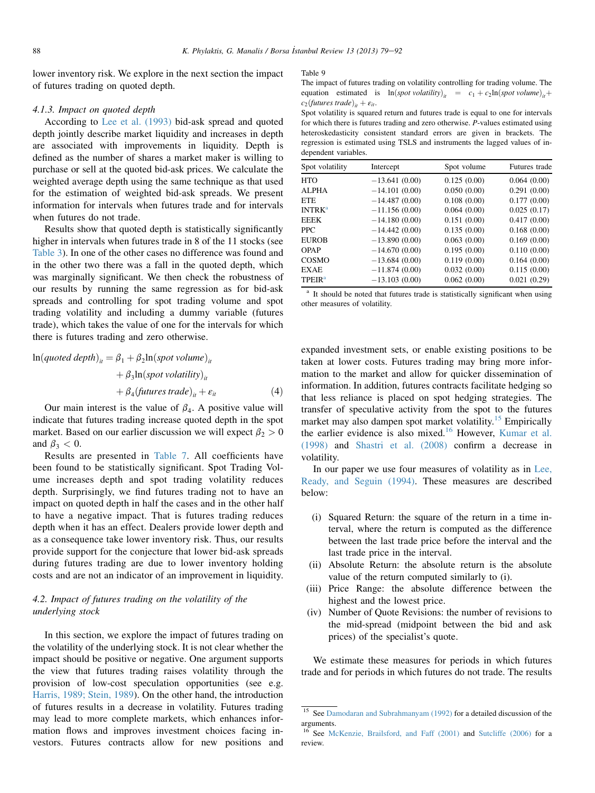<span id="page-10-0"></span>lower inventory risk. We explore in the next section the impact of futures trading on quoted depth.

#### 4.1.3. Impact on quoted depth

According to [Lee et al. \(1993\)](#page-14-0) bid-ask spread and quoted depth jointly describe market liquidity and increases in depth are associated with improvements in liquidity. Depth is defined as the number of shares a market maker is willing to purchase or sell at the quoted bid-ask prices. We calculate the weighted average depth using the same technique as that used for the estimation of weighted bid-ask spreads. We present information for intervals when futures trade and for intervals when futures do not trade.

Results show that quoted depth is statistically significantly higher in intervals when futures trade in 8 of the 11 stocks (see [Table 3](#page-6-0)). In one of the other cases no difference was found and in the other two there was a fall in the quoted depth, which was marginally significant. We then check the robustness of our results by running the same regression as for bid-ask spreads and controlling for spot trading volume and spot trading volatility and including a dummy variable (futures trade), which takes the value of one for the intervals for which there is futures trading and zero otherwise.

$$
\ln(quoted \text{ depth})_{it} = \beta_1 + \beta_2 \ln(\text{spot volume})_{it}
$$

$$
+ \beta_3 \ln(\text{spot volatility})_{it}
$$

$$
+ \beta_4 (\text{futures trade})_{it} + \varepsilon_{it}
$$
(4)

Our main interest is the value of  $\beta_4$ . A positive value will indicate that futures trading increase quoted depth in the spot market. Based on our earlier discussion we will expect  $\beta_2 > 0$ and  $\beta_3 < 0$ .

Results are presented in [Table 7](#page-8-0). All coefficients have been found to be statistically significant. Spot Trading Volume increases depth and spot trading volatility reduces depth. Surprisingly, we find futures trading not to have an impact on quoted depth in half the cases and in the other half to have a negative impact. That is futures trading reduces depth when it has an effect. Dealers provide lower depth and as a consequence take lower inventory risk. Thus, our results provide support for the conjecture that lower bid-ask spreads during futures trading are due to lower inventory holding costs and are not an indicator of an improvement in liquidity.

## 4.2. Impact of futures trading on the volatility of the underlying stock

In this section, we explore the impact of futures trading on the volatility of the underlying stock. It is not clear whether the impact should be positive or negative. One argument supports the view that futures trading raises volatility through the provision of low-cost speculation opportunities (see e.g. [Harris, 1989; Stein, 1989\)](#page-14-0). On the other hand, the introduction of futures results in a decrease in volatility. Futures trading may lead to more complete markets, which enhances information flows and improves investment choices facing investors. Futures contracts allow for new positions and Table 9

The impact of futures trading on volatility controlling for trading volume. The equation estimated is  $ln(spot$  volatility $)_{it} = c_1 + c_2 ln(spot$  volume $)_{it}$ +  $c_2$ (futures trade)<sub>it</sub> +  $\varepsilon_{it}$ .

Spot volatility is squared return and futures trade is equal to one for intervals for which there is futures trading and zero otherwise. P-values estimated using heteroskedasticity consistent standard errors are given in brackets. The regression is estimated using TSLS and instruments the lagged values of independent variables.

| Spot volatility          | Intercept       | Spot volume | Futures trade |
|--------------------------|-----------------|-------------|---------------|
| <b>HTO</b>               | $-13.641(0.00)$ | 0.125(0.00) | 0.064(0.00)   |
| <b>ALPHA</b>             | $-14.101(0.00)$ | 0.050(0.00) | 0.291(0.00)   |
| <b>ETE</b>               | $-14.487(0.00)$ | 0.108(0.00) | 0.177(0.00)   |
| INTRK <sup>a</sup>       | $-11.156(0.00)$ | 0.064(0.00) | 0.025(0.17)   |
| <b>EEEK</b>              | $-14.180(0.00)$ | 0.151(0.00) | 0.417(0.00)   |
| <b>PPC</b>               | $-14.442(0.00)$ | 0.135(0.00) | 0.168(0.00)   |
| <b>EUROB</b>             | $-13.890(0.00)$ | 0.063(0.00) | 0.169(0.00)   |
| OPAP                     | $-14.670(0.00)$ | 0.195(0.00) | 0.110(0.00)   |
| COSMO                    | $-13.684(0.00)$ | 0.119(0.00) | 0.164(0.00)   |
| <b>EXAE</b>              | $-11.874(0.00)$ | 0.032(0.00) | 0.115(0.00)   |
| <b>TPEIR<sup>a</sup></b> | $-13.103(0.00)$ | 0.062(0.00) | 0.021(0.29)   |

<sup>a</sup> It should be noted that futures trade is statistically significant when using other measures of volatility.

expanded investment sets, or enable existing positions to be taken at lower costs. Futures trading may bring more information to the market and allow for quicker dissemination of information. In addition, futures contracts facilitate hedging so that less reliance is placed on spot hedging strategies. The transfer of speculative activity from the spot to the futures market may also dampen spot market volatility.<sup>15</sup> Empirically the earlier evidence is also mixed.<sup>16</sup> However, [Kumar et al.](#page-14-0) [\(1998\)](#page-14-0) and [Shastri et al. \(2008\)](#page-14-0) confirm a decrease in volatility.

In our paper we use four measures of volatility as in [Lee,](#page-14-0) [Ready, and Seguin \(1994\)](#page-14-0). These measures are described below:

- (i) Squared Return: the square of the return in a time interval, where the return is computed as the difference between the last trade price before the interval and the last trade price in the interval.
- (ii) Absolute Return: the absolute return is the absolute value of the return computed similarly to (i).
- (iii) Price Range: the absolute difference between the highest and the lowest price.
- (iv) Number of Quote Revisions: the number of revisions to the mid-spread (midpoint between the bid and ask prices) of the specialist's quote.

We estimate these measures for periods in which futures trade and for periods in which futures do not trade. The results

<sup>&</sup>lt;sup>15</sup> See [Damodaran and Subrahmanyam \(1992\)](#page-14-0) for a detailed discussion of the arguments.

<sup>&</sup>lt;sup>16</sup> See [McKenzie, Brailsford, and Faff \(2001\)](#page-14-0) and [Sutcliffe \(2006\)](#page-14-0) for a review.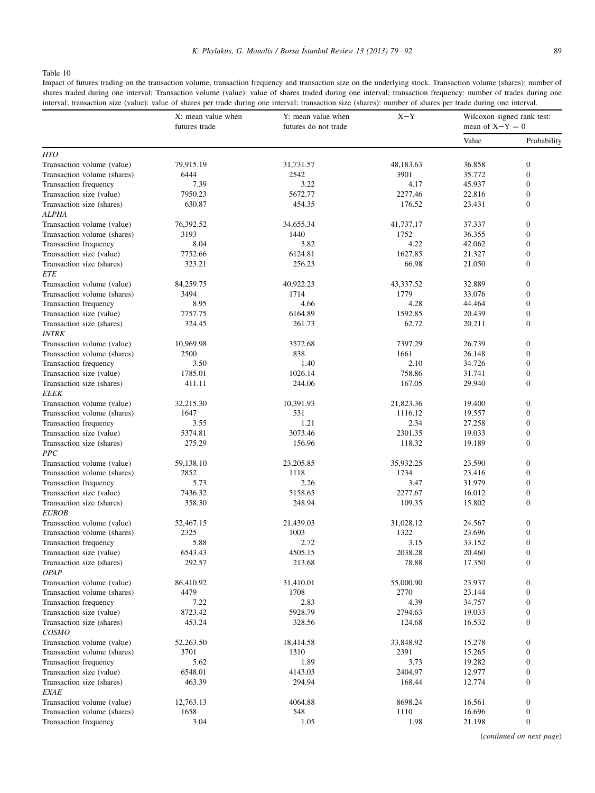<span id="page-11-0"></span>Impact of futures trading on the transaction volume, transaction frequency and transaction size on the underlying stock. Transaction volume (shares): number of shares traded during one interval; Transaction volume (value): value of shares traded during one interval; transaction frequency: number of trades during one interval; transaction size (value): value of shares per trade during one interval; transaction size (shares): number of shares per trade during one interval.

|                              | X: mean value when<br>futures trade | Y: mean value when<br>futures do not trade | $X-Y$     | Wilcoxon signed rank test:<br>mean of $X-Y = 0$ |                  |
|------------------------------|-------------------------------------|--------------------------------------------|-----------|-------------------------------------------------|------------------|
|                              |                                     |                                            |           | Value                                           | Probability      |
| <b>HTO</b>                   |                                     |                                            |           |                                                 |                  |
| Transaction volume (value)   | 79,915.19                           | 31,731.57                                  | 48.183.63 | 36.858                                          | $\mathbf{0}$     |
| Transaction volume (shares)  | 6444                                | 2542                                       | 3901      | 35.772                                          | $\boldsymbol{0}$ |
| <b>Transaction frequency</b> | 7.39                                | 3.22                                       | 4.17      | 45.937                                          | $\boldsymbol{0}$ |
| Transaction size (value)     | 7950.23                             | 5672.77                                    | 2277.46   | 22.816                                          | $\mathbf{0}$     |
| Transaction size (shares)    | 630.87                              | 454.35                                     | 176.52    | 23.431                                          | $\boldsymbol{0}$ |
| ALPHA                        |                                     |                                            |           |                                                 |                  |
| Transaction volume (value)   | 76,392.52                           | 34,655.34                                  | 41,737.17 | 37.337                                          | $\mathbf{0}$     |
| Transaction volume (shares)  | 3193                                | 1440                                       | 1752      | 36.355                                          | $\boldsymbol{0}$ |
| Transaction frequency        | 8.04                                | 3.82                                       | 4.22      | 42.062                                          | $\boldsymbol{0}$ |
| Transaction size (value)     | 7752.66                             | 6124.81                                    | 1627.85   | 21.327                                          | $\mathbf{0}$     |
| Transaction size (shares)    | 323.21                              | 256.23                                     | 66.98     | 21.050                                          | $\boldsymbol{0}$ |
| ETE                          |                                     |                                            |           |                                                 |                  |
| Transaction volume (value)   | 84,259.75                           | 40,922.23                                  | 43,337.52 | 32.889                                          | $\mathbf{0}$     |
| Transaction volume (shares)  | 3494                                | 1714                                       | 1779      | 33.076                                          | $\boldsymbol{0}$ |
| Transaction frequency        | 8.95                                | 4.66                                       | 4.28      | 44.464                                          | $\boldsymbol{0}$ |
| Transaction size (value)     | 7757.75                             | 6164.89                                    | 1592.85   | 20.439                                          | $\mathbf{0}$     |
| Transaction size (shares)    | 324.45                              | 261.73                                     | 62.72     | 20.211                                          | $\mathbf{0}$     |
| <b>INTRK</b>                 |                                     |                                            |           |                                                 |                  |
| Transaction volume (value)   | 10,969.98                           | 3572.68                                    | 7397.29   | 26.739                                          | $\boldsymbol{0}$ |
| Transaction volume (shares)  | 2500                                | 838                                        | 1661      | 26.148                                          | $\boldsymbol{0}$ |
|                              |                                     |                                            |           |                                                 |                  |
| Transaction frequency        | 3.50                                | 1.40<br>1026.14                            | 2.10      | 34.726<br>31.741                                | $\boldsymbol{0}$ |
| Transaction size (value)     | 1785.01                             |                                            | 758.86    |                                                 | $\boldsymbol{0}$ |
| Transaction size (shares)    | 411.11                              | 244.06                                     | 167.05    | 29.940                                          | $\boldsymbol{0}$ |
| <b>EEEK</b>                  |                                     |                                            |           |                                                 |                  |
| Transaction volume (value)   | 32,215.30                           | 10,391.93                                  | 21,823.36 | 19.400                                          | $\boldsymbol{0}$ |
| Transaction volume (shares)  | 1647                                | 531                                        | 1116.12   | 19.557                                          | $\boldsymbol{0}$ |
| Transaction frequency        | 3.55                                | 1.21                                       | 2.34      | 27.258                                          | $\boldsymbol{0}$ |
| Transaction size (value)     | 5374.81                             | 3073.46                                    | 2301.35   | 19.033                                          | $\boldsymbol{0}$ |
| Transaction size (shares)    | 275.29                              | 156.96                                     | 118.32    | 19.189                                          | $\boldsymbol{0}$ |
| <b>PPC</b>                   |                                     |                                            |           |                                                 |                  |
| Transaction volume (value)   | 59,138.10                           | 23,205.85                                  | 35,932.25 | 23.590                                          | $\boldsymbol{0}$ |
| Transaction volume (shares)  | 2852                                | 1118                                       | 1734      | 23.416                                          | $\boldsymbol{0}$ |
| Transaction frequency        | 5.73                                | 2.26                                       | 3.47      | 31.979                                          | $\boldsymbol{0}$ |
| Transaction size (value)     | 7436.32                             | 5158.65                                    | 2277.67   | 16.012                                          | $\boldsymbol{0}$ |
| Transaction size (shares)    | 358.30                              | 248.94                                     | 109.35    | 15.802                                          | $\boldsymbol{0}$ |
| <b>EUROB</b>                 |                                     |                                            |           |                                                 |                  |
| Transaction volume (value)   | 52,467.15                           | 21,439.03                                  | 31,028.12 | 24.567                                          | $\boldsymbol{0}$ |
| Transaction volume (shares)  | 2325                                | 1003                                       | 1322      | 23.696                                          | $\boldsymbol{0}$ |
| Transaction frequency        | 5.88                                | 2.72                                       | 3.15      | 33.152                                          | $\boldsymbol{0}$ |
| Transaction size (value)     | 6543.43                             | 4505.15                                    | 2038.28   | 20.460                                          | $\Omega$         |
| Transaction size (shares)    | 292.57                              | 213.68                                     | 78.88     | 17.350                                          | $\overline{0}$   |
| OPAP                         |                                     |                                            |           |                                                 |                  |
| Transaction volume (value)   | 86,410.92                           | 31,410.01                                  | 55,000.90 | 23.937                                          | $\boldsymbol{0}$ |
| Transaction volume (shares)  | 4479                                | 1708                                       | 2770      | 23.144                                          | $\boldsymbol{0}$ |
| Transaction frequency        | 7.22                                | 2.83                                       | 4.39      | 34.757                                          | $\mathbf{0}$     |
| Transaction size (value)     | 8723.42                             | 5928.79                                    | 2794.63   | 19.033                                          | $\boldsymbol{0}$ |
| Transaction size (shares)    | 453.24                              | 328.56                                     | 124.68    | 16.532                                          | $\boldsymbol{0}$ |
| COSMO                        |                                     |                                            |           |                                                 |                  |
| Transaction volume (value)   | 52,263.50                           | 18,414.58                                  | 33,848.92 | 15.278                                          | $\boldsymbol{0}$ |
| Transaction volume (shares)  | 3701                                | 1310                                       | 2391      | 15.265                                          | $\mathbf{0}$     |
| Transaction frequency        | 5.62                                | 1.89                                       | 3.73      | 19.282                                          | $\boldsymbol{0}$ |
| Transaction size (value)     | 6548.01                             | 4143.03                                    | 2404.97   | 12.977                                          | $\boldsymbol{0}$ |
| Transaction size (shares)    | 463.39                              | 294.94                                     | 168.44    | 12.774                                          | $\boldsymbol{0}$ |
| <b>EXAE</b>                  |                                     |                                            |           |                                                 |                  |
| Transaction volume (value)   | 12,763.13                           | 4064.88                                    | 8698.24   | 16.561                                          | $\boldsymbol{0}$ |
| Transaction volume (shares)  | 1658                                | 548                                        | 1110      | 16.696                                          | $\boldsymbol{0}$ |
| Transaction frequency        | 3.04                                | 1.05                                       | 1.98      | 21.198                                          | $\mathbf{0}$     |
|                              |                                     |                                            |           |                                                 |                  |

(continued on next page)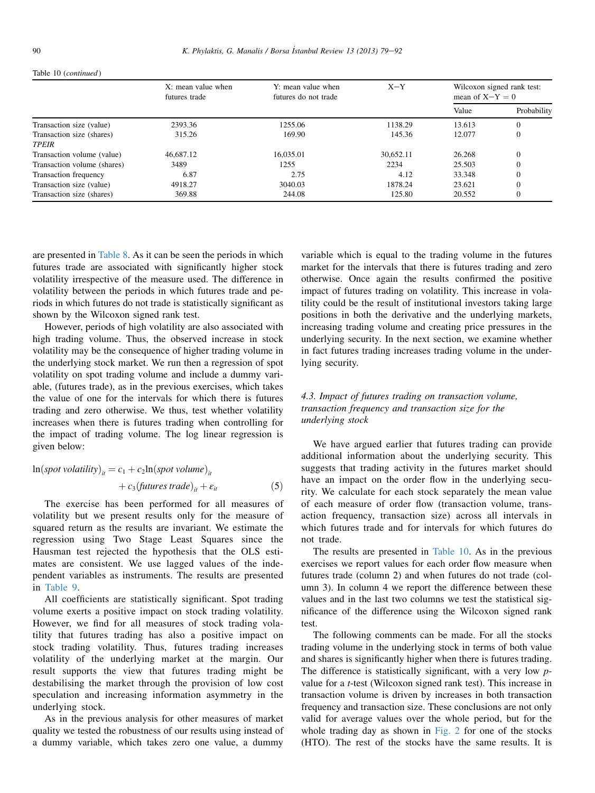Table 10 (continued)

|                                           | X: mean value when<br>futures trade | Y: mean value when<br>futures do not trade | $X-Y$     | Wilcoxon signed rank test:<br>mean of $X-Y = 0$ |                |
|-------------------------------------------|-------------------------------------|--------------------------------------------|-----------|-------------------------------------------------|----------------|
|                                           |                                     |                                            |           | Value                                           | Probability    |
| Transaction size (value)                  | 2393.36                             | 1255.06                                    | 1138.29   | 13.613                                          | $\Omega$       |
| Transaction size (shares)<br><b>TPEIR</b> | 315.26                              | 169.90                                     | 145.36    | 12.077                                          | $\overline{0}$ |
| Transaction volume (value)                | 46,687.12                           | 16.035.01                                  | 30.652.11 | 26.268                                          | $\Omega$       |
| Transaction volume (shares)               | 3489                                | 1255                                       | 2234      | 25.503                                          | $\Omega$       |
| Transaction frequency                     | 6.87                                | 2.75                                       | 4.12      | 33.348                                          | $\Omega$       |
| Transaction size (value)                  | 4918.27                             | 3040.03                                    | 1878.24   | 23.621                                          | $\Omega$       |
| Transaction size (shares)                 | 369.88                              | 244.08                                     | 125.80    | 20.552                                          | $\Omega$       |

are presented in [Table 8.](#page-9-0) As it can be seen the periods in which futures trade are associated with significantly higher stock volatility irrespective of the measure used. The difference in volatility between the periods in which futures trade and periods in which futures do not trade is statistically significant as shown by the Wilcoxon signed rank test.

However, periods of high volatility are also associated with high trading volume. Thus, the observed increase in stock volatility may be the consequence of higher trading volume in the underlying stock market. We run then a regression of spot volatility on spot trading volume and include a dummy variable, (futures trade), as in the previous exercises, which takes the value of one for the intervals for which there is futures trading and zero otherwise. We thus, test whether volatility increases when there is futures trading when controlling for the impact of trading volume. The log linear regression is given below:

$$
\ln(spot volatility)_{it} = c_1 + c_2 \ln(spot volume)_{it}
$$
  
+  $c_3$ (futures trade)\_{it} +  $\varepsilon_{it}$  (5)

The exercise has been performed for all measures of volatility but we present results only for the measure of squared return as the results are invariant. We estimate the regression using Two Stage Least Squares since the Hausman test rejected the hypothesis that the OLS estimates are consistent. We use lagged values of the independent variables as instruments. The results are presented in [Table 9](#page-10-0).

All coefficients are statistically significant. Spot trading volume exerts a positive impact on stock trading volatility. However, we find for all measures of stock trading volatility that futures trading has also a positive impact on stock trading volatility. Thus, futures trading increases volatility of the underlying market at the margin. Our result supports the view that futures trading might be destabilising the market through the provision of low cost speculation and increasing information asymmetry in the underlying stock.

As in the previous analysis for other measures of market quality we tested the robustness of our results using instead of a dummy variable, which takes zero one value, a dummy variable which is equal to the trading volume in the futures market for the intervals that there is futures trading and zero otherwise. Once again the results confirmed the positive impact of futures trading on volatility. This increase in volatility could be the result of institutional investors taking large positions in both the derivative and the underlying markets, increasing trading volume and creating price pressures in the underlying security. In the next section, we examine whether in fact futures trading increases trading volume in the underlying security.

## 4.3. Impact of futures trading on transaction volume, transaction frequency and transaction size for the underlying stock

We have argued earlier that futures trading can provide additional information about the underlying security. This suggests that trading activity in the futures market should have an impact on the order flow in the underlying security. We calculate for each stock separately the mean value of each measure of order flow (transaction volume, transaction frequency, transaction size) across all intervals in which futures trade and for intervals for which futures do not trade.

The results are presented in [Table 10](#page-11-0). As in the previous exercises we report values for each order flow measure when futures trade (column 2) and when futures do not trade (column 3). In column 4 we report the difference between these values and in the last two columns we test the statistical significance of the difference using the Wilcoxon signed rank test.

The following comments can be made. For all the stocks trading volume in the underlying stock in terms of both value and shares is significantly higher when there is futures trading. The difference is statistically significant, with a very low pvalue for a t-test (Wilcoxon signed rank test). This increase in transaction volume is driven by increases in both transaction frequency and transaction size. These conclusions are not only valid for average values over the whole period, but for the whole trading day as shown in [Fig. 2](#page-13-0) for one of the stocks (HTO). The rest of the stocks have the same results. It is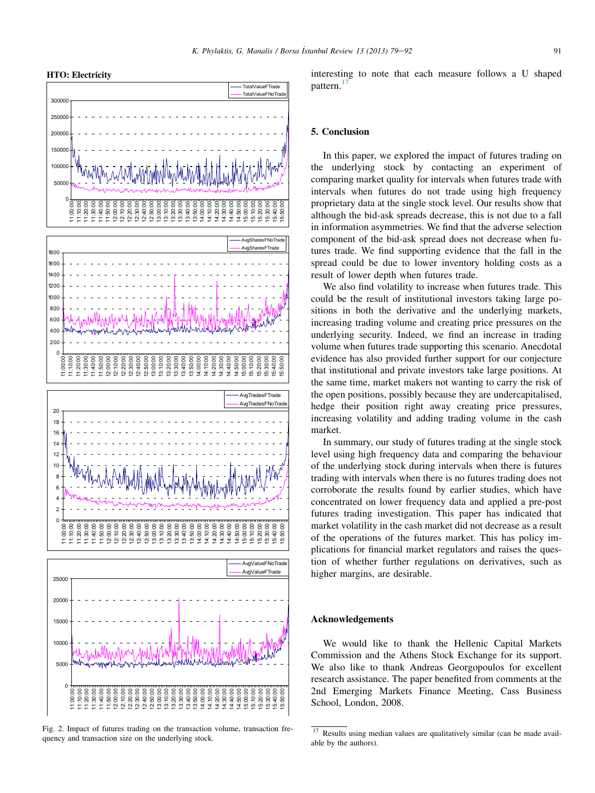<span id="page-13-0"></span>



Fig. 2. Impact of futures trading on the transaction volume, transaction frequency and transaction size on the underlying stock.

interesting to note that each measure follows a U shaped pattern.<sup>17</sup>

#### 5. Conclusion

In this paper, we explored the impact of futures trading on the underlying stock by contacting an experiment of comparing market quality for intervals when futures trade with intervals when futures do not trade using high frequency proprietary data at the single stock level. Our results show that although the bid-ask spreads decrease, this is not due to a fall in information asymmetries. We find that the adverse selection component of the bid-ask spread does not decrease when futures trade. We find supporting evidence that the fall in the spread could be due to lower inventory holding costs as a result of lower depth when futures trade.

We also find volatility to increase when futures trade. This could be the result of institutional investors taking large positions in both the derivative and the underlying markets, increasing trading volume and creating price pressures on the underlying security. Indeed, we find an increase in trading volume when futures trade supporting this scenario. Anecdotal evidence has also provided further support for our conjecture that institutional and private investors take large positions. At the same time, market makers not wanting to carry the risk of the open positions, possibly because they are undercapitalised, hedge their position right away creating price pressures, increasing volatility and adding trading volume in the cash market.

In summary, our study of futures trading at the single stock level using high frequency data and comparing the behaviour of the underlying stock during intervals when there is futures trading with intervals when there is no futures trading does not corroborate the results found by earlier studies, which have concentrated on lower frequency data and applied a pre-post futures trading investigation. This paper has indicated that market volatility in the cash market did not decrease as a result of the operations of the futures market. This has policy implications for financial market regulators and raises the question of whether further regulations on derivatives, such as higher margins, are desirable.

## Acknowledgements

We would like to thank the Hellenic Capital Markets Commission and the Athens Stock Exchange for its support. We also like to thank Andreas Georgopoulos for excellent research assistance. The paper benefited from comments at the 2nd Emerging Markets Finance Meeting, Cass Business School, London, 2008.

 $17$  Results using median values are qualitatively similar (can be made available by the authors).